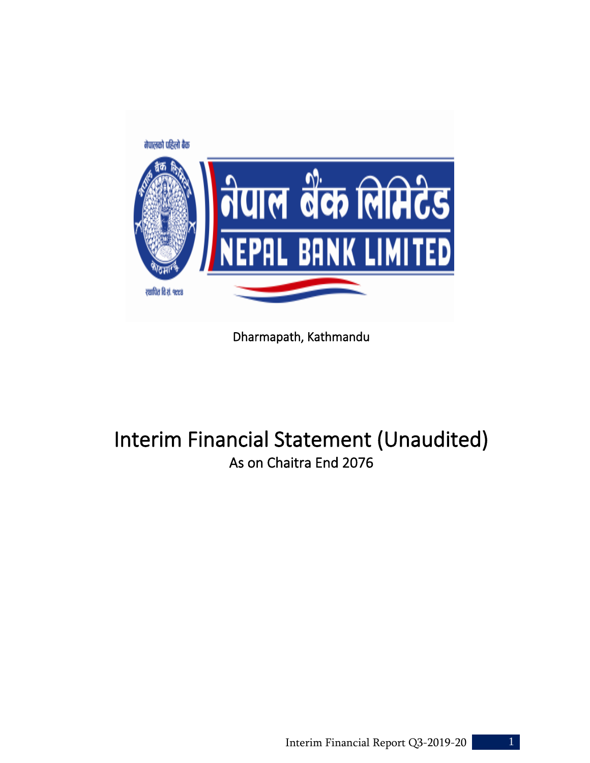

Dharmapath, Kathmandu

# Interim Financial Statement (Unaudited) As on Chaitra End 2076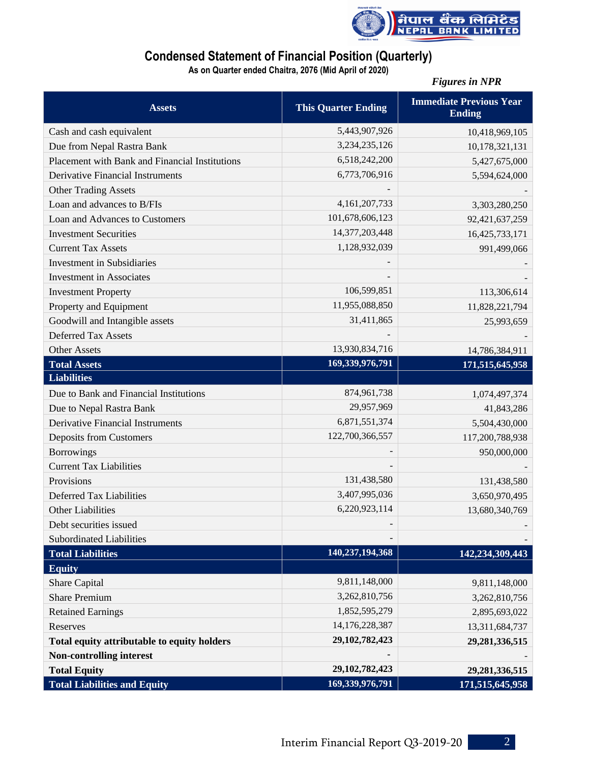

# **Condensed Statement of Financial Position (Quarterly)**

**As on Quarter ended Chaitra, 2076 (Mid April of 2020)**

*Figures in NPR* 

| <b>Assets</b>                                  | <b>This Quarter Ending</b> | <b>Immediate Previous Year</b><br><b>Ending</b> |
|------------------------------------------------|----------------------------|-------------------------------------------------|
| Cash and cash equivalent                       | 5,443,907,926              | 10,418,969,105                                  |
| Due from Nepal Rastra Bank                     | 3,234,235,126              | 10,178,321,131                                  |
| Placement with Bank and Financial Institutions | 6,518,242,200              | 5,427,675,000                                   |
| <b>Derivative Financial Instruments</b>        | 6,773,706,916              | 5,594,624,000                                   |
| <b>Other Trading Assets</b>                    |                            |                                                 |
| Loan and advances to B/FIs                     | 4, 161, 207, 733           | 3,303,280,250                                   |
| Loan and Advances to Customers                 | 101,678,606,123            | 92,421,637,259                                  |
| <b>Investment Securities</b>                   | 14,377,203,448             | 16,425,733,171                                  |
| <b>Current Tax Assets</b>                      | 1,128,932,039              | 991,499,066                                     |
| <b>Investment in Subsidiaries</b>              |                            |                                                 |
| <b>Investment</b> in Associates                |                            |                                                 |
| <b>Investment Property</b>                     | 106,599,851                | 113,306,614                                     |
| Property and Equipment                         | 11,955,088,850             | 11,828,221,794                                  |
| Goodwill and Intangible assets                 | 31,411,865                 | 25,993,659                                      |
| <b>Deferred Tax Assets</b>                     |                            |                                                 |
| <b>Other Assets</b>                            | 13,930,834,716             | 14,786,384,911                                  |
| <b>Total Assets</b>                            | 169,339,976,791            | 171,515,645,958                                 |
| <b>Liabilities</b>                             |                            |                                                 |
| Due to Bank and Financial Institutions         | 874,961,738                | 1,074,497,374                                   |
| Due to Nepal Rastra Bank                       | 29,957,969                 | 41,843,286                                      |
| <b>Derivative Financial Instruments</b>        | 6,871,551,374              | 5,504,430,000                                   |
| <b>Deposits from Customers</b>                 | 122,700,366,557            | 117,200,788,938                                 |
| <b>Borrowings</b>                              |                            | 950,000,000                                     |
| <b>Current Tax Liabilities</b>                 |                            |                                                 |
| Provisions                                     | 131,438,580                | 131,438,580                                     |
| <b>Deferred Tax Liabilities</b>                | 3,407,995,036              | 3,650,970,495                                   |
| <b>Other Liabilities</b>                       | 6,220,923,114              | 13,680,340,769                                  |
| Debt securities issued                         |                            |                                                 |
| <b>Subordinated Liabilities</b>                |                            |                                                 |
| <b>Total Liabilities</b>                       | 140,237,194,368            | 142,234,309,443                                 |
| <b>Equity</b>                                  |                            |                                                 |
| Share Capital                                  | 9,811,148,000              | 9,811,148,000                                   |
| <b>Share Premium</b>                           | 3,262,810,756              | 3,262,810,756                                   |
| <b>Retained Earnings</b>                       | 1,852,595,279              | 2,895,693,022                                   |
| Reserves                                       | 14,176,228,387             | 13,311,684,737                                  |
| Total equity attributable to equity holders    | 29, 102, 782, 423          | 29,281,336,515                                  |
| <b>Non-controlling interest</b>                |                            |                                                 |
| <b>Total Equity</b>                            | 29, 102, 782, 423          | 29, 281, 336, 515                               |
| <b>Total Liabilities and Equity</b>            | 169,339,976,791            | 171,515,645,958                                 |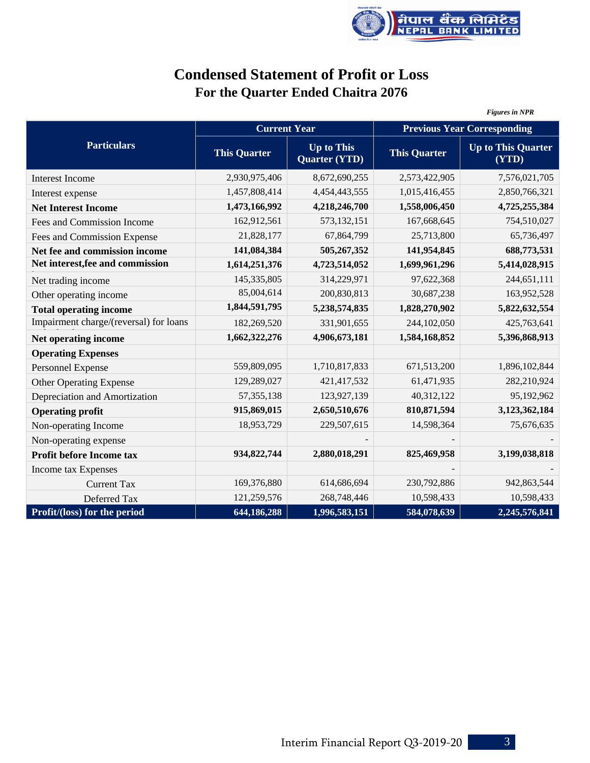

# **Condensed Statement of Profit or Loss For the Quarter Ended Chaitra 2076**

|                                        |                     |                                           |                                    | <b>Figures in NPR</b>              |  |  |
|----------------------------------------|---------------------|-------------------------------------------|------------------------------------|------------------------------------|--|--|
|                                        | <b>Current Year</b> |                                           | <b>Previous Year Corresponding</b> |                                    |  |  |
| <b>Particulars</b>                     | <b>This Quarter</b> | <b>Up to This</b><br><b>Quarter (YTD)</b> | <b>This Quarter</b>                | <b>Up to This Quarter</b><br>(YTD) |  |  |
| <b>Interest Income</b>                 | 2,930,975,406       | 8,672,690,255                             | 2,573,422,905                      | 7,576,021,705                      |  |  |
| Interest expense                       | 1,457,808,414       | 4,454,443,555                             | 1,015,416,455                      | 2,850,766,321                      |  |  |
| <b>Net Interest Income</b>             | 1,473,166,992       | 4,218,246,700                             | 1,558,006,450                      | 4,725,255,384                      |  |  |
| Fees and Commission Income             | 162,912,561         | 573,132,151                               | 167,668,645                        | 754,510,027                        |  |  |
| Fees and Commission Expense            | 21,828,177          | 67,864,799                                | 25,713,800                         | 65,736,497                         |  |  |
| Net fee and commission income          | 141,084,384         | 505,267,352                               | 141,954,845                        | 688,773,531                        |  |  |
| Net interest, fee and commission       | 1,614,251,376       | 4,723,514,052                             | 1,699,961,296                      | 5,414,028,915                      |  |  |
| Net trading income                     | 145,335,805         | 314,229,971                               | 97,622,368                         | 244,651,111                        |  |  |
| Other operating income                 | 85,004,614          | 200,830,813                               | 30,687,238                         | 163,952,528                        |  |  |
| <b>Total operating income</b>          | 1,844,591,795       | 5,238,574,835                             | 1,828,270,902                      | 5,822,632,554                      |  |  |
| Impairment charge/(reversal) for loans | 182,269,520         | 331,901,655                               | 244,102,050                        | 425,763,641                        |  |  |
| Net operating income                   | 1,662,322,276       | 4,906,673,181                             | 1,584,168,852                      | 5,396,868,913                      |  |  |
| <b>Operating Expenses</b>              |                     |                                           |                                    |                                    |  |  |
| Personnel Expense                      | 559,809,095         | 1,710,817,833                             | 671,513,200                        | 1,896,102,844                      |  |  |
| <b>Other Operating Expense</b>         | 129,289,027         | 421,417,532                               | 61,471,935                         | 282,210,924                        |  |  |
| Depreciation and Amortization          | 57, 355, 138        | 123,927,139                               | 40,312,122                         | 95,192,962                         |  |  |
| <b>Operating profit</b>                | 915,869,015         | 2,650,510,676                             | 810, 871, 594                      | 3,123,362,184                      |  |  |
| Non-operating Income                   | 18,953,729          | 229,507,615                               | 14,598,364                         | 75,676,635                         |  |  |
| Non-operating expense                  |                     |                                           |                                    |                                    |  |  |
| Profit before Income tax               | 934,822,744         | 2,880,018,291                             | 825,469,958                        | 3,199,038,818                      |  |  |
| Income tax Expenses                    |                     |                                           |                                    |                                    |  |  |
| <b>Current Tax</b>                     | 169,376,880         | 614,686,694                               | 230,792,886                        | 942,863,544                        |  |  |
| Deferred Tax                           | 121,259,576         | 268,748,446                               | 10,598,433                         | 10,598,433                         |  |  |
| Profit/(loss) for the period           | 644,186,288         | 1,996,583,151                             | 584,078,639                        | 2,245,576,841                      |  |  |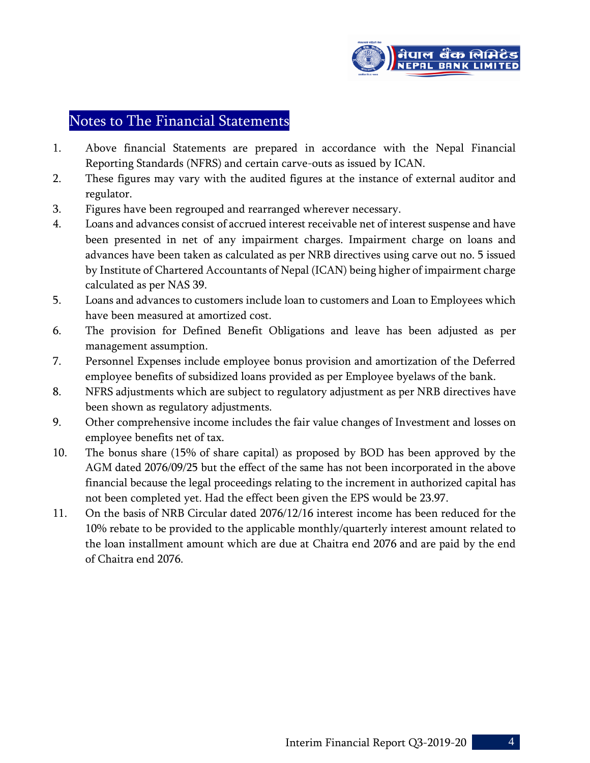

# Notes to The Financial Statements

- 1. Above financial Statements are prepared in accordance with the Nepal Financial Reporting Standards (NFRS) and certain carve-outs as issued by ICAN.
- 2. These figures may vary with the audited figures at the instance of external auditor and regulator.
- 3. Figures have been regrouped and rearranged wherever necessary.
- 4. Loans and advances consist of accrued interest receivable net of interest suspense and have been presented in net of any impairment charges. Impairment charge on loans and advances have been taken as calculated as per NRB directives using carve out no. 5 issued by Institute of Chartered Accountants of Nepal (ICAN) being higher of impairment charge calculated as per NAS 39.
- 5. Loans and advances to customers include loan to customers and Loan to Employees which have been measured at amortized cost.
- 6. The provision for Defined Benefit Obligations and leave has been adjusted as per management assumption.
- 7. Personnel Expenses include employee bonus provision and amortization of the Deferred employee benefits of subsidized loans provided as per Employee byelaws of the bank.
- 8. NFRS adjustments which are subject to regulatory adjustment as per NRB directives have been shown as regulatory adjustments.
- 9. Other comprehensive income includes the fair value changes of Investment and losses on employee benefits net of tax.
- 10. The bonus share (15% of share capital) as proposed by BOD has been approved by the AGM dated 2076/09/25 but the effect of the same has not been incorporated in the above financial because the legal proceedings relating to the increment in authorized capital has not been completed yet. Had the effect been given the EPS would be 23.97.
- 11. On the basis of NRB Circular dated 2076/12/16 interest income has been reduced for the 10% rebate to be provided to the applicable monthly/quarterly interest amount related to the loan installment amount which are due at Chaitra end 2076 and are paid by the end of Chaitra end 2076.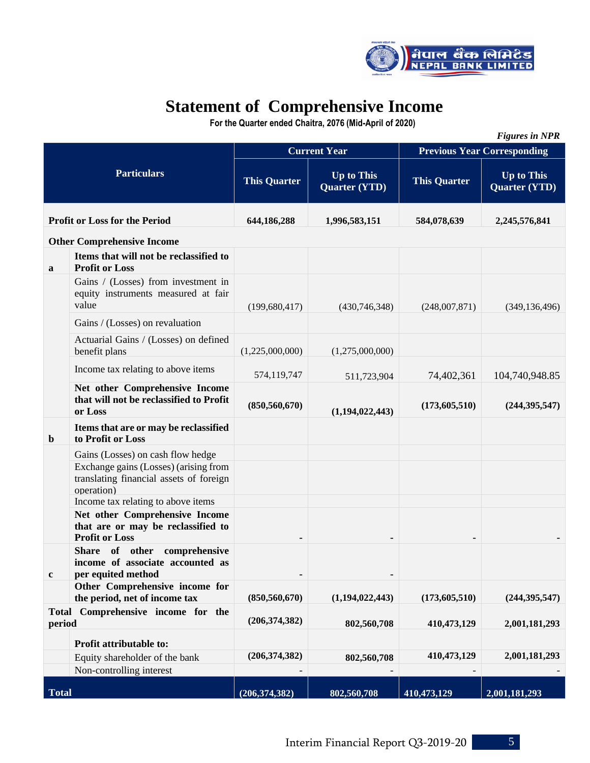

# **Statement of Comprehensive Income**

 **For the Quarter ended Chaitra, 2076 (Mid-April of 2020)**

|                                                        |                                                                                                |                                                                  |                     |                                    | <b>Figures in NPR</b>                     |  |  |
|--------------------------------------------------------|------------------------------------------------------------------------------------------------|------------------------------------------------------------------|---------------------|------------------------------------|-------------------------------------------|--|--|
|                                                        |                                                                                                |                                                                  | <b>Current Year</b> | <b>Previous Year Corresponding</b> |                                           |  |  |
|                                                        | <b>Particulars</b>                                                                             | <b>Up to This</b><br><b>This Quarter</b><br><b>Quarter (YTD)</b> |                     | <b>This Quarter</b>                | <b>Up to This</b><br><b>Quarter (YTD)</b> |  |  |
|                                                        | <b>Profit or Loss for the Period</b>                                                           | 644,186,288                                                      | 1,996,583,151       | 584,078,639                        | 2,245,576,841                             |  |  |
|                                                        | <b>Other Comprehensive Income</b>                                                              |                                                                  |                     |                                    |                                           |  |  |
| a                                                      | Items that will not be reclassified to<br><b>Profit or Loss</b>                                |                                                                  |                     |                                    |                                           |  |  |
|                                                        | Gains / (Losses) from investment in<br>equity instruments measured at fair<br>value            | (199, 680, 417)                                                  | (430, 746, 348)     | (248,007,871)                      | (349, 136, 496)                           |  |  |
|                                                        | Gains / (Losses) on revaluation                                                                |                                                                  |                     |                                    |                                           |  |  |
|                                                        | Actuarial Gains / (Losses) on defined<br>benefit plans                                         | (1,225,000,000)                                                  | (1,275,000,000)     |                                    |                                           |  |  |
|                                                        | Income tax relating to above items                                                             | 574,119,747                                                      | 511,723,904         | 74,402,361                         | 104,740,948.85                            |  |  |
|                                                        | Net other Comprehensive Income<br>that will not be reclassified to Profit<br>or Loss           | (850, 560, 670)                                                  | (1,194,022,443)     | (173,605,510)                      | (244, 395, 547)                           |  |  |
| $\mathbf b$                                            | Items that are or may be reclassified<br>to Profit or Loss                                     |                                                                  |                     |                                    |                                           |  |  |
|                                                        | Gains (Losses) on cash flow hedge                                                              |                                                                  |                     |                                    |                                           |  |  |
|                                                        | Exchange gains (Losses) (arising from<br>translating financial assets of foreign<br>operation) |                                                                  |                     |                                    |                                           |  |  |
|                                                        | Income tax relating to above items                                                             |                                                                  |                     |                                    |                                           |  |  |
|                                                        | Net other Comprehensive Income<br>that are or may be reclassified to<br><b>Profit or Loss</b>  |                                                                  |                     |                                    |                                           |  |  |
| $\mathbf c$                                            | Share of other<br>comprehensive<br>income of associate accounted as<br>per equited method      |                                                                  |                     |                                    |                                           |  |  |
|                                                        | Other Comprehensive income for                                                                 |                                                                  |                     |                                    |                                           |  |  |
|                                                        | the period, net of income tax                                                                  | (850, 560, 670)                                                  | (1,194,022,443)     | (173, 605, 510)                    | (244, 395, 547)                           |  |  |
| Comprehensive income for the<br><b>Total</b><br>period |                                                                                                | (206, 374, 382)                                                  | 802,560,708         | 410, 473, 129                      | 2,001,181,293                             |  |  |
|                                                        | Profit attributable to:                                                                        |                                                                  |                     |                                    |                                           |  |  |
|                                                        | Equity shareholder of the bank                                                                 | (206, 374, 382)                                                  | 802,560,708         | 410,473,129                        | 2,001,181,293                             |  |  |
|                                                        | Non-controlling interest                                                                       |                                                                  |                     |                                    |                                           |  |  |
| <b>Total</b>                                           |                                                                                                | (206, 374, 382)                                                  | 802,560,708         | 410,473,129                        | 2,001,181,293                             |  |  |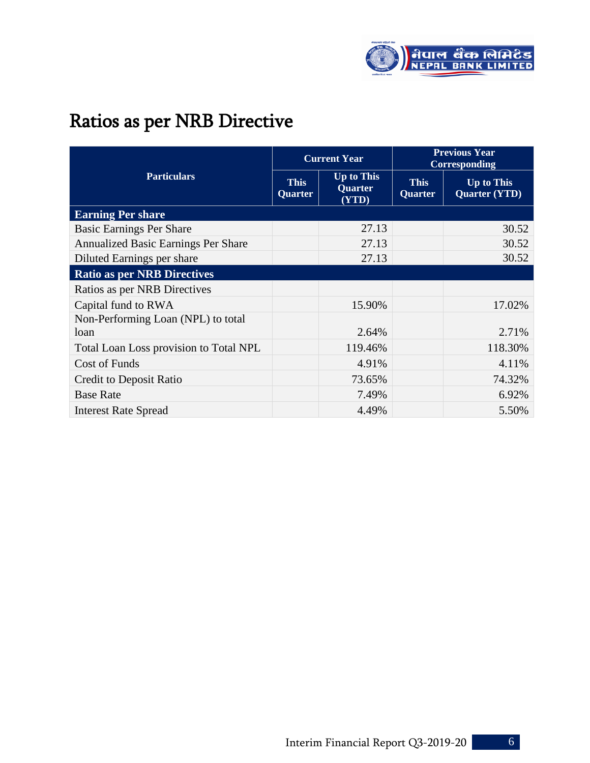

# Ratios as per NRB Directive

|                                            |                               | <b>Current Year</b>                          | <b>Previous Year</b><br>Corresponding |                                           |  |
|--------------------------------------------|-------------------------------|----------------------------------------------|---------------------------------------|-------------------------------------------|--|
| <b>Particulars</b>                         | <b>This</b><br><b>Quarter</b> | <b>Up to This</b><br><b>Quarter</b><br>(YTD) | <b>This</b><br>Quarter                | <b>Up to This</b><br><b>Quarter (YTD)</b> |  |
| <b>Earning Per share</b>                   |                               |                                              |                                       |                                           |  |
| <b>Basic Earnings Per Share</b>            |                               | 27.13                                        |                                       | 30.52                                     |  |
| Annualized Basic Earnings Per Share        |                               | 27.13                                        |                                       | 30.52                                     |  |
| Diluted Earnings per share                 |                               | 27.13                                        |                                       | 30.52                                     |  |
| <b>Ratio as per NRB Directives</b>         |                               |                                              |                                       |                                           |  |
| Ratios as per NRB Directives               |                               |                                              |                                       |                                           |  |
| Capital fund to RWA                        |                               | 15.90%                                       |                                       | 17.02%                                    |  |
| Non-Performing Loan (NPL) to total<br>loan |                               | 2.64%                                        |                                       | 2.71%                                     |  |
| Total Loan Loss provision to Total NPL     |                               | 119.46%                                      |                                       | 118.30%                                   |  |
| <b>Cost of Funds</b>                       |                               | 4.91%                                        |                                       | 4.11%                                     |  |
| Credit to Deposit Ratio                    |                               | 73.65%                                       |                                       | 74.32%                                    |  |
| <b>Base Rate</b>                           |                               | 7.49%                                        |                                       | 6.92%                                     |  |
| <b>Interest Rate Spread</b>                |                               | 4.49%                                        |                                       | 5.50%                                     |  |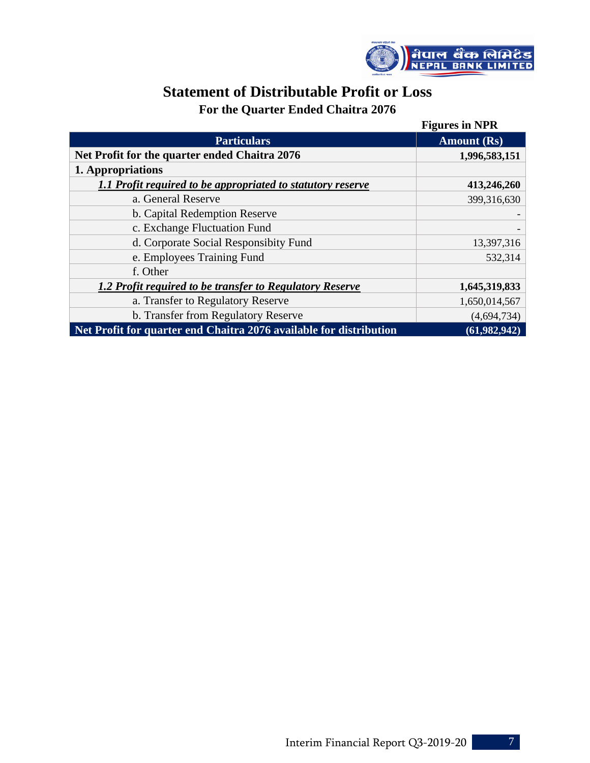

# **Statement of Distributable Profit or Loss**

# **For the Quarter Ended Chaitra 2076**

|                                                                    | <b>Figures in NPR</b> |
|--------------------------------------------------------------------|-----------------------|
| <b>Particulars</b>                                                 | <b>Amount</b> (Rs)    |
| Net Profit for the quarter ended Chaitra 2076                      | 1,996,583,151         |
| 1. Appropriations                                                  |                       |
| 1.1 Profit required to be appropriated to statutory reserve        | 413,246,260           |
| a. General Reserve                                                 | 399,316,630           |
| b. Capital Redemption Reserve                                      |                       |
| c. Exchange Fluctuation Fund                                       |                       |
| d. Corporate Social Responsibity Fund                              | 13,397,316            |
| e. Employees Training Fund                                         | 532,314               |
| f. Other                                                           |                       |
| 1.2 Profit required to be transfer to Regulatory Reserve           | 1,645,319,833         |
| a. Transfer to Regulatory Reserve                                  | 1,650,014,567         |
| b. Transfer from Regulatory Reserve                                | (4,694,734)           |
| Net Profit for quarter end Chaitra 2076 available for distribution | (61, 982, 942)        |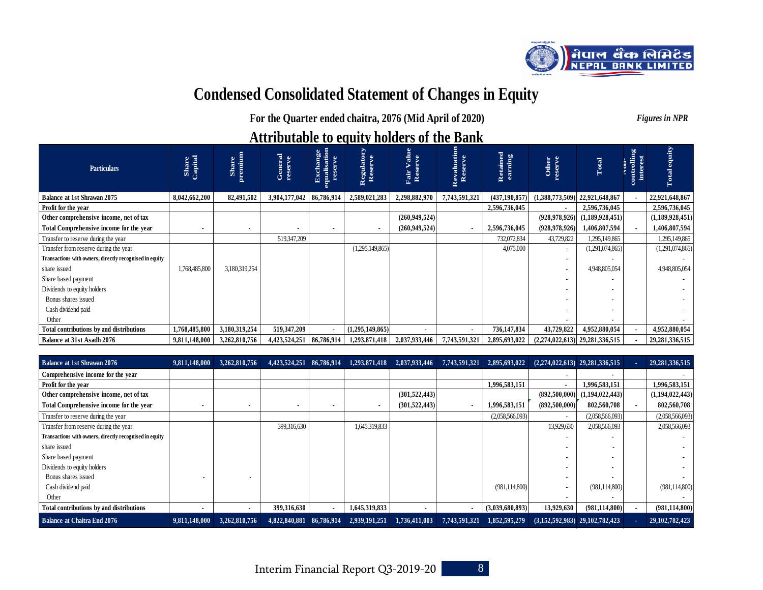

# **Condensed Consolidated Statement of Changes in Equity**

**For the Quarter ended chaitra, 2076 (Mid April of 2020)** *Figures in NPR*

# **Attributable to equity holders of the Bank**

| <b>Particulars</b>                                      | Share<br>Capital | Share<br>premium | General<br>reserve         | <b>Exchange</b><br>squalisation<br>ē | <b>Regulatory</b><br>Reserve | alue<br>ve<br>j.<br>⋗<br>Fair<br>Rese | Revaluation<br>Reserve | Retained<br>earning | Other<br>reserve         | Total                            | trolling<br>ontrollin<br>interest | Total equity    |
|---------------------------------------------------------|------------------|------------------|----------------------------|--------------------------------------|------------------------------|---------------------------------------|------------------------|---------------------|--------------------------|----------------------------------|-----------------------------------|-----------------|
| <b>Balance at 1st Shrawan 2075</b>                      | 8,042,662,200    | 82,491,502       | 3,904,177,042   86,786,914 |                                      | 2,589,021,283                | 2,298,882,970                         | 7,743,591,321          | (437, 190, 857)     |                          | $(1,388,773,509)$ 22,921,648,867 |                                   | 22,921,648,867  |
| Profit for the year                                     |                  |                  |                            |                                      |                              |                                       |                        | 2,596,736,045       |                          | 2,596,736,045                    |                                   | 2,596,736,045   |
| Other comprehensive income, net of tax                  |                  |                  |                            |                                      |                              | (260, 949, 524)                       |                        |                     | (928, 978, 926)          | (1,189,928,451)                  |                                   | (1,189,928,451) |
| Total Comprehensive income for the year                 |                  |                  |                            |                                      |                              | (260, 949, 524)                       |                        | 2,596,736,045       | (928, 978, 926)          | 1,406,807,594                    |                                   | 1,406,807,594   |
| Transfer to reserve during the year                     |                  |                  | 519,347,209                |                                      |                              |                                       |                        | 732,072,834         | 43,729,822               | 1,295,149,865                    |                                   | 1,295,149,865   |
| Transfer from reserve during the year                   |                  |                  |                            |                                      | (1,295,149,865)              |                                       |                        | 4,075,000           | $\sim$                   | (1,291,074,865)                  |                                   | (1,291,074,865) |
| Transactions with owners, directly recognised in equity |                  |                  |                            |                                      |                              |                                       |                        |                     |                          |                                  |                                   |                 |
| share issued                                            | 1,768,485,800    | 3,180,319,254    |                            |                                      |                              |                                       |                        |                     | $\overline{\phantom{0}}$ | 4.948.805.054                    |                                   | 4,948,805,054   |
| Share based payment                                     |                  |                  |                            |                                      |                              |                                       |                        |                     |                          |                                  |                                   |                 |
| Dividends to equity holders                             |                  |                  |                            |                                      |                              |                                       |                        |                     |                          |                                  |                                   |                 |
| Bonus shares issued                                     |                  |                  |                            |                                      |                              |                                       |                        |                     |                          |                                  |                                   |                 |
| Cash dividend paid                                      |                  |                  |                            |                                      |                              |                                       |                        |                     |                          |                                  |                                   |                 |
| Other                                                   |                  |                  |                            |                                      |                              |                                       |                        |                     |                          |                                  |                                   |                 |
| Total contributions by and distributions                | 1,768,485,800    | 3,180,319,254    | 519,347,209                |                                      | (1,295,149,865)              | $\blacksquare$                        | $\blacksquare$         | 736,147,834         | 43,729,822               | 4,952,880,054                    |                                   | 4,952,880,054   |
| Balance at 31st Asadh 2076                              | 9,811,148,000    | 3,262,810,756    | 4,423,524,251              | 86,786,914                           | 1,293,871,418                | 2,037,933,446                         | 7,743,591,321          | 2,895,693,022       |                          | $(2,274,022,613)$ 29,281,336,515 |                                   | 29,281,336,515  |

| Balance at 1st Shrawan 2076                             | 9,811,148,000 | 3,262,810,756  | 4,423,524,251 86,786,914 | 1,293,871,418 | 2,037,933,446            | 7,743,591,321  | 2,895,693,022   |                          | $(2,274,022,613)$ $29,281,336,515$ | 29, 281, 336, 515 |
|---------------------------------------------------------|---------------|----------------|--------------------------|---------------|--------------------------|----------------|-----------------|--------------------------|------------------------------------|-------------------|
| Comprehensive income for the year                       |               |                |                          |               |                          |                |                 |                          |                                    |                   |
| Profit for the year                                     |               |                |                          |               |                          |                | 1,996,583,151   | $\blacksquare$           | 1,996,583,151                      | 1,996,583,151     |
| Other comprehensive income, net of tax                  |               |                |                          |               | (301, 522, 443)          |                |                 | (892,500,000)            | (1,194,022,443)                    | (1,194,022,443)   |
| Total Comprehensive income for the year                 |               | ۰              |                          |               | (301, 522, 443)          | $\blacksquare$ | 1,996,583,151   | (892,500,000)            | 802,560,708                        | 802,560,708       |
| Transfer to reserve during the year                     |               |                |                          |               |                          |                | (2,058,566,093) | $\overline{\phantom{a}}$ | (2,058,566,093)                    | (2,058,566,093)   |
| Transfer from reserve during the year                   |               |                | 399,316,630              | 1,645,319,833 |                          |                |                 | 13,929,630               | 2,058,566,093                      | 2,058,566,093     |
| Transactions with owners, directly recognised in equity |               |                |                          |               |                          |                |                 |                          |                                    |                   |
| share issued                                            |               |                |                          |               |                          |                |                 |                          |                                    |                   |
| Share based payment                                     |               |                |                          |               |                          |                |                 |                          |                                    |                   |
| Dividends to equity holders                             |               |                |                          |               |                          |                |                 |                          |                                    |                   |
| Bonus shares issued                                     |               |                |                          |               |                          |                |                 |                          |                                    |                   |
| Cash dividend paid                                      |               |                |                          |               |                          |                | (981, 114, 800) |                          | (981, 114, 800)                    | (981, 114, 800)   |
| Other                                                   |               |                |                          |               |                          |                |                 |                          |                                    |                   |
| Total contributions by and distributions                |               | $\blacksquare$ | 399,316,630              | 1,645,319,833 | $\overline{\phantom{a}}$ | $\blacksquare$ | (3,039,680,893) | 13,929,630               | (981, 114, 800)                    | (981, 114, 800)   |
| <b>Balance at Chaitra End 2076</b>                      | 9.811.148.000 | 3.262.810.756  | 4,822,840,881 86,786,914 | 2,939,191,251 | 1,736,411,003            | 7,743,591,321  | 1,852,595,279   |                          | $(3,152,592,983)$ 29,102,782,423   | 29, 102, 782, 423 |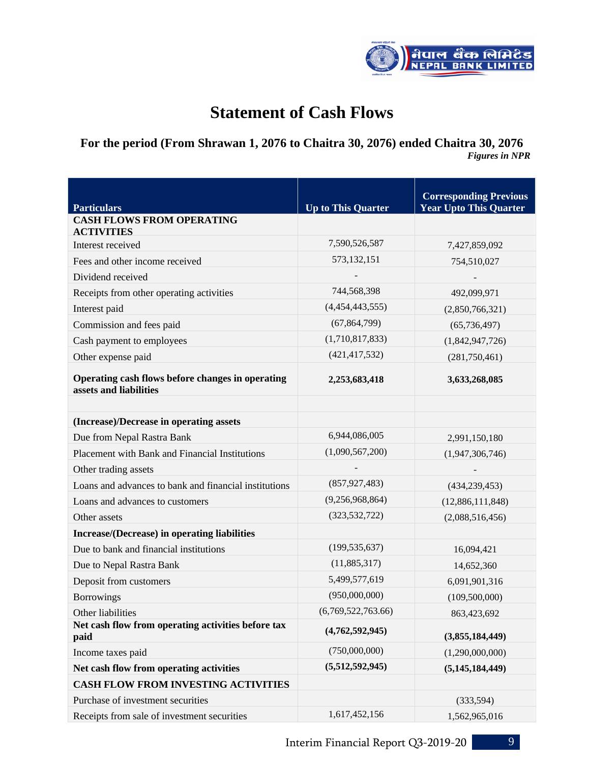

# **Statement of Cash Flows**

# **For the period (From Shrawan 1, 2076 to Chaitra 30, 2076) ended Chaitra 30, 2076** *Figures in NPR*

| <b>Particulars</b>                                                         | <b>Up to This Quarter</b> | <b>Corresponding Previous</b><br><b>Year Upto This Quarter</b> |  |  |  |
|----------------------------------------------------------------------------|---------------------------|----------------------------------------------------------------|--|--|--|
| <b>CASH FLOWS FROM OPERATING</b><br><b>ACTIVITIES</b>                      |                           |                                                                |  |  |  |
| Interest received                                                          | 7,590,526,587             | 7,427,859,092                                                  |  |  |  |
| Fees and other income received                                             | 573, 132, 151             | 754,510,027                                                    |  |  |  |
| Dividend received                                                          |                           |                                                                |  |  |  |
| Receipts from other operating activities                                   | 744,568,398               | 492,099,971                                                    |  |  |  |
| Interest paid                                                              | (4,454,443,555)           | (2,850,766,321)                                                |  |  |  |
| Commission and fees paid                                                   | (67, 864, 799)            | (65, 736, 497)                                                 |  |  |  |
| Cash payment to employees                                                  | (1,710,817,833)           | (1,842,947,726)                                                |  |  |  |
| Other expense paid                                                         | (421, 417, 532)           | (281,750,461)                                                  |  |  |  |
| Operating cash flows before changes in operating<br>assets and liabilities | 2,253,683,418             | 3,633,268,085                                                  |  |  |  |
| (Increase)/Decrease in operating assets                                    |                           |                                                                |  |  |  |
| Due from Nepal Rastra Bank                                                 | 6,944,086,005             | 2,991,150,180                                                  |  |  |  |
| Placement with Bank and Financial Institutions                             | (1,090,567,200)           | (1,947,306,746)                                                |  |  |  |
| Other trading assets                                                       |                           |                                                                |  |  |  |
| Loans and advances to bank and financial institutions                      | (857, 927, 483)           | (434, 239, 453)                                                |  |  |  |
| Loans and advances to customers                                            | (9,256,968,864)           | (12,886,111,848)                                               |  |  |  |
| Other assets                                                               | (323, 532, 722)           | (2,088,516,456)                                                |  |  |  |
| Increase/(Decrease) in operating liabilities                               |                           |                                                                |  |  |  |
| Due to bank and financial institutions                                     | (199, 535, 637)           | 16,094,421                                                     |  |  |  |
| Due to Nepal Rastra Bank                                                   | (11,885,317)              | 14,652,360                                                     |  |  |  |
| Deposit from customers                                                     | 5,499,577,619             | 6,091,901,316                                                  |  |  |  |
| <b>Borrowings</b>                                                          | (950,000,000)             | (109,500,000)                                                  |  |  |  |
| Other liabilities                                                          | (6,769,522,763.66)        | 863,423,692                                                    |  |  |  |
| Net cash flow from operating activities before tax<br>paid                 | (4,762,592,945)           | (3,855,184,449)                                                |  |  |  |
| Income taxes paid                                                          | (750,000,000)             | (1,290,000,000)                                                |  |  |  |
| Net cash flow from operating activities                                    | (5,512,592,945)           | (5, 145, 184, 449)                                             |  |  |  |
| <b>CASH FLOW FROM INVESTING ACTIVITIES</b>                                 |                           |                                                                |  |  |  |
| Purchase of investment securities                                          |                           | (333,594)                                                      |  |  |  |
| Receipts from sale of investment securities                                | 1,617,452,156             | 1,562,965,016                                                  |  |  |  |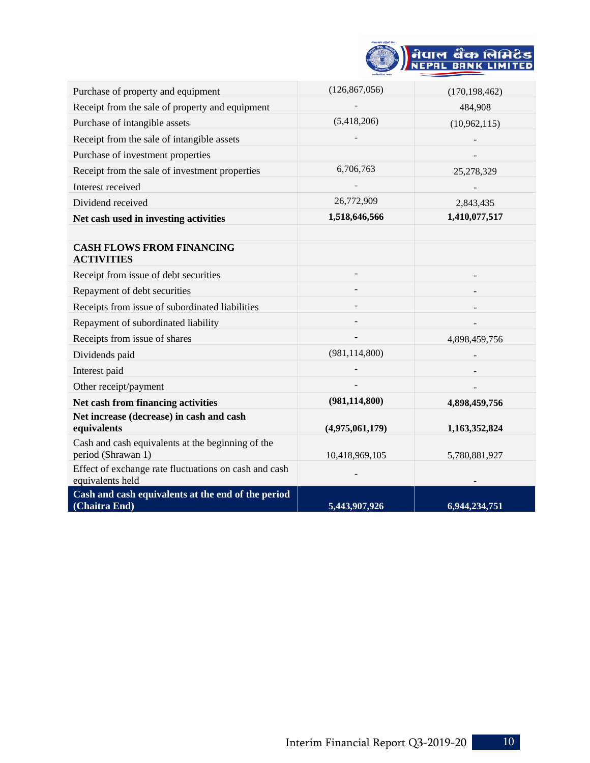| निपाल बैंक लिमिटेड |
|--------------------|
| NEPAL BANK LIMITED |
|                    |

| Purchase of property and equipment                                        | (126, 867, 056) | (170, 198, 462) |
|---------------------------------------------------------------------------|-----------------|-----------------|
| Receipt from the sale of property and equipment                           |                 | 484,908         |
| Purchase of intangible assets                                             | (5,418,206)     | (10,962,115)    |
| Receipt from the sale of intangible assets                                |                 |                 |
| Purchase of investment properties                                         |                 |                 |
| Receipt from the sale of investment properties                            | 6,706,763       | 25,278,329      |
| Interest received                                                         |                 |                 |
| Dividend received                                                         | 26,772,909      | 2,843,435       |
| Net cash used in investing activities                                     | 1,518,646,566   | 1,410,077,517   |
|                                                                           |                 |                 |
| <b>CASH FLOWS FROM FINANCING</b><br><b>ACTIVITIES</b>                     |                 |                 |
| Receipt from issue of debt securities                                     |                 |                 |
| Repayment of debt securities                                              |                 |                 |
| Receipts from issue of subordinated liabilities                           |                 |                 |
| Repayment of subordinated liability                                       |                 |                 |
| Receipts from issue of shares                                             |                 | 4,898,459,756   |
| Dividends paid                                                            | (981, 114, 800) |                 |
| Interest paid                                                             |                 |                 |
| Other receipt/payment                                                     |                 |                 |
| Net cash from financing activities                                        | (981, 114, 800) | 4,898,459,756   |
| Net increase (decrease) in cash and cash<br>equivalents                   | (4,975,061,179) | 1,163,352,824   |
| Cash and cash equivalents at the beginning of the<br>period (Shrawan 1)   | 10,418,969,105  | 5,780,881,927   |
| Effect of exchange rate fluctuations on cash and cash<br>equivalents held |                 |                 |
| Cash and cash equivalents at the end of the period<br>(Chaitra End)       | 5,443,907,926   | 6,944,234,751   |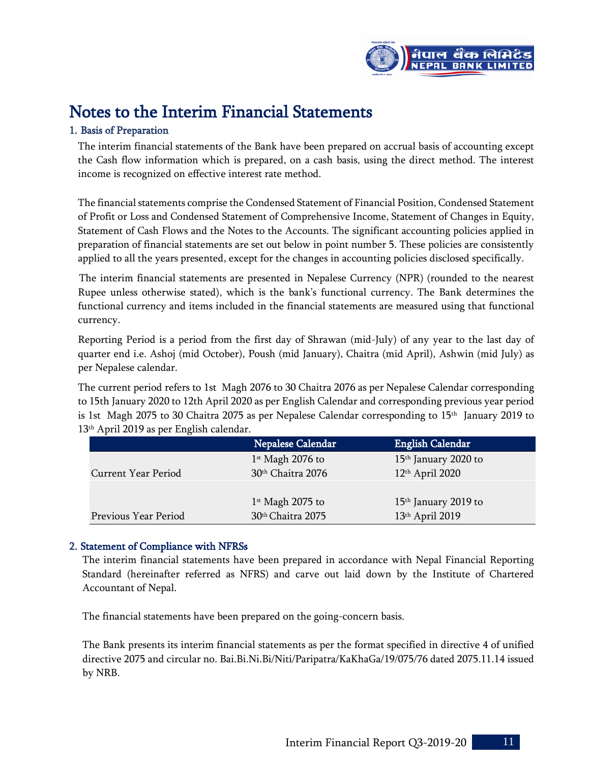

# Notes to the Interim Financial Statements

# 1. Basis of Preparation

The interim financial statements of the Bank have been prepared on accrual basis of accounting except the Cash flow information which is prepared, on a cash basis, using the direct method. The interest income is recognized on effective interest rate method.

The financial statements comprise the Condensed Statement of Financial Position, Condensed Statement of Profit or Loss and Condensed Statement of Comprehensive Income, Statement of Changes in Equity, Statement of Cash Flows and the Notes to the Accounts. The significant accounting policies applied in preparation of financial statements are set out below in point number 5. These policies are consistently applied to all the years presented, except for the changes in accounting policies disclosed specifically.

 The interim financial statements are presented in Nepalese Currency (NPR) (rounded to the nearest Rupee unless otherwise stated), which is the bank's functional currency. The Bank determines the functional currency and items included in the financial statements are measured using that functional currency.

Reporting Period is a period from the first day of Shrawan (mid-July) of any year to the last day of quarter end i.e. Ashoj (mid October), Poush (mid January), Chaitra (mid April), Ashwin (mid July) as per Nepalese calendar.

The current period refers to 1st Magh 2076 to 30 Chaitra 2076 as per Nepalese Calendar corresponding to 15th January 2020 to 12th April 2020 as per English Calendar and corresponding previous year period is 1st Magh 2075 to 30 Chaitra 2075 as per Nepalese Calendar corresponding to 15th January 2019 to 13 th April 2019 as per English calendar.

|                            | Nepalese Calendar  | <b>English Calendar</b>          |
|----------------------------|--------------------|----------------------------------|
|                            | $1st$ Magh 2076 to | 15 <sup>th</sup> January 2020 to |
| <b>Current Year Period</b> | 30th Chaitra 2076  | $12th$ April 2020                |
|                            |                    |                                  |
|                            | $1st$ Magh 2075 to | $15th$ January 2019 to           |
| Previous Year Period       | 30th Chaitra 2075  | 13th April 2019                  |

# 2. Statement of Compliance with NFRSs

The interim financial statements have been prepared in accordance with Nepal Financial Reporting Standard (hereinafter referred as NFRS) and carve out laid down by the Institute of Chartered Accountant of Nepal.

The financial statements have been prepared on the going-concern basis.

The Bank presents its interim financial statements as per the format specified in directive 4 of unified directive 2075 and circular no. Bai.Bi.Ni.Bi/Niti/Paripatra/KaKhaGa/19/075/76 dated 2075.11.14 issued by NRB.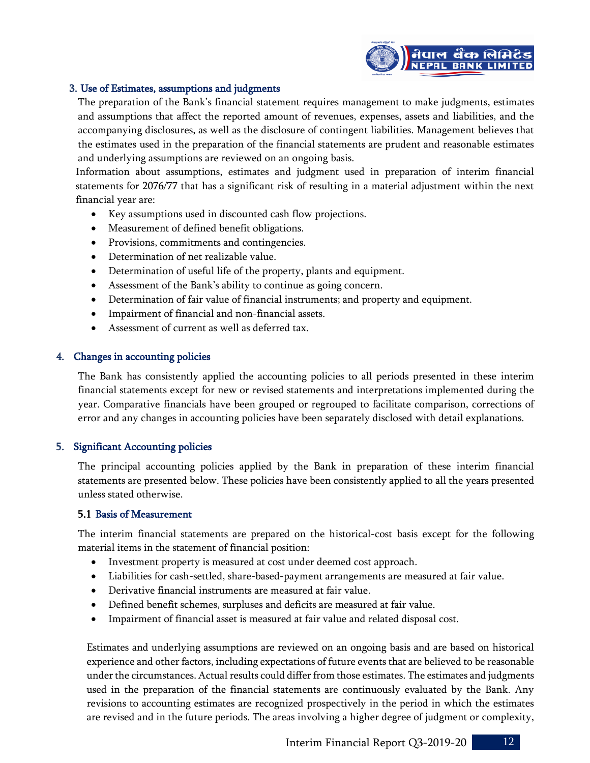

## 3. Use of Estimates, assumptions and judgments

The preparation of the Bank's financial statement requires management to make judgments, estimates and assumptions that affect the reported amount of revenues, expenses, assets and liabilities, and the accompanying disclosures, as well as the disclosure of contingent liabilities. Management believes that the estimates used in the preparation of the financial statements are prudent and reasonable estimates and underlying assumptions are reviewed on an ongoing basis.

Information about assumptions, estimates and judgment used in preparation of interim financial statements for 2076/77 that has a significant risk of resulting in a material adjustment within the next financial year are:

- Key assumptions used in discounted cash flow projections.
- Measurement of defined benefit obligations.
- Provisions, commitments and contingencies.
- Determination of net realizable value.
- Determination of useful life of the property, plants and equipment.
- Assessment of the Bank's ability to continue as going concern.
- Determination of fair value of financial instruments; and property and equipment.
- Impairment of financial and non-financial assets.
- Assessment of current as well as deferred tax.

## 4. Changes in accounting policies

The Bank has consistently applied the accounting policies to all periods presented in these interim financial statements except for new or revised statements and interpretations implemented during the year. Comparative financials have been grouped or regrouped to facilitate comparison, corrections of error and any changes in accounting policies have been separately disclosed with detail explanations.

## 5. Significant Accounting policies

The principal accounting policies applied by the Bank in preparation of these interim financial statements are presented below. These policies have been consistently applied to all the years presented unless stated otherwise.

## 5.1 Basis of Measurement

The interim financial statements are prepared on the historical-cost basis except for the following material items in the statement of financial position:

- Investment property is measured at cost under deemed cost approach.
- Liabilities for cash-settled, share-based-payment arrangements are measured at fair value.
- Derivative financial instruments are measured at fair value.
- Defined benefit schemes, surpluses and deficits are measured at fair value.
- Impairment of financial asset is measured at fair value and related disposal cost.

Estimates and underlying assumptions are reviewed on an ongoing basis and are based on historical experience and other factors, including expectations of future events that are believed to be reasonable under the circumstances. Actual results could differ from those estimates. The estimates and judgments used in the preparation of the financial statements are continuously evaluated by the Bank. Any revisions to accounting estimates are recognized prospectively in the period in which the estimates are revised and in the future periods. The areas involving a higher degree of judgment or complexity,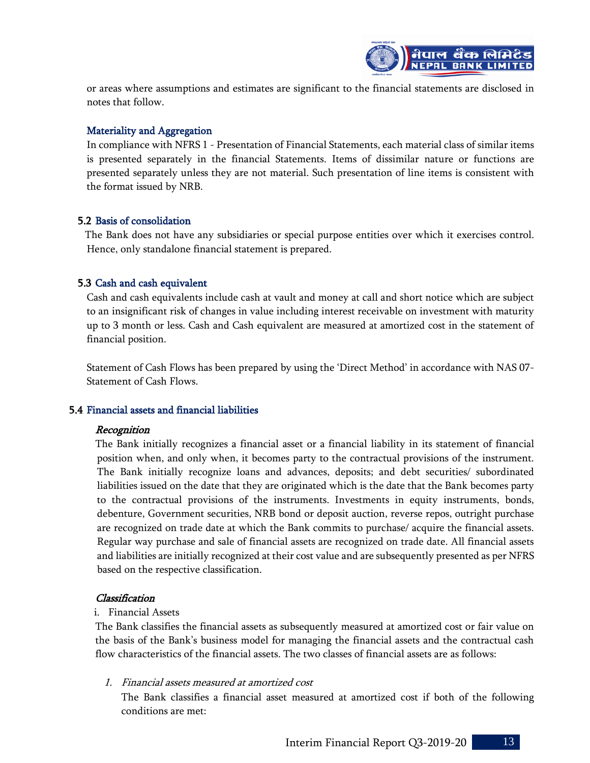

or areas where assumptions and estimates are significant to the financial statements are disclosed in notes that follow.

# Materiality and Aggregation

In compliance with NFRS 1 - Presentation of Financial Statements, each material class of similar items is presented separately in the financial Statements. Items of dissimilar nature or functions are presented separately unless they are not material. Such presentation of line items is consistent with the format issued by NRB.

# 5.2 Basis of consolidation

The Bank does not have any subsidiaries or special purpose entities over which it exercises control. Hence, only standalone financial statement is prepared.

# 5.3 Cash and cash equivalent

Cash and cash equivalents include cash at vault and money at call and short notice which are subject to an insignificant risk of changes in value including interest receivable on investment with maturity up to 3 month or less. Cash and Cash equivalent are measured at amortized cost in the statement of financial position.

Statement of Cash Flows has been prepared by using the 'Direct Method' in accordance with NAS 07- Statement of Cash Flows.

## 5.4 Financial assets and financial liabilities

## Recognition

The Bank initially recognizes a financial asset or a financial liability in its statement of financial position when, and only when, it becomes party to the contractual provisions of the instrument. The Bank initially recognize loans and advances, deposits; and debt securities/ subordinated liabilities issued on the date that they are originated which is the date that the Bank becomes party to the contractual provisions of the instruments. Investments in equity instruments, bonds, debenture, Government securities, NRB bond or deposit auction, reverse repos, outright purchase are recognized on trade date at which the Bank commits to purchase/ acquire the financial assets. Regular way purchase and sale of financial assets are recognized on trade date. All financial assets and liabilities are initially recognized at their cost value and are subsequently presented as per NFRS based on the respective classification.

## Classification

## i. Financial Assets

The Bank classifies the financial assets as subsequently measured at amortized cost or fair value on the basis of the Bank's business model for managing the financial assets and the contractual cash flow characteristics of the financial assets. The two classes of financial assets are as follows:

1. Financial assets measured at amortized cost

The Bank classifies a financial asset measured at amortized cost if both of the following conditions are met: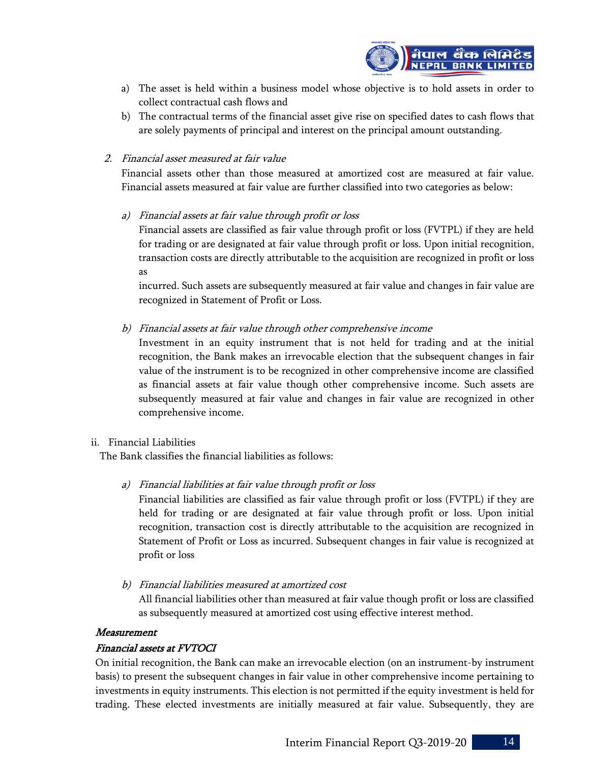

- a) The asset is held within a business model whose objective is to hold assets in order to collect contractual cash flows and
- b) The contractual terms of the financial asset give rise on specified dates to cash flows that are solely payments of principal and interest on the principal amount outstanding.
- 2. Financial asset measured at fair value

Financial assets other than those measured at amortized cost are measured at fair value. Financial assets measured at fair value are further classified into two categories as below:

a) Financial assets at fair value through profit or loss

Financial assets are classified as fair value through profit or loss (FVTPL) if they are held for trading or are designated at fair value through profit or loss. Upon initial recognition, transaction costs are directly attributable to the acquisition are recognized in profit or loss as

incurred. Such assets are subsequently measured at fair value and changes in fair value are recognized in Statement of Profit or Loss.

b) Financial assets at fair value through other comprehensive income

Investment in an equity instrument that is not held for trading and at the initial recognition, the Bank makes an irrevocable election that the subsequent changes in fair value of the instrument is to be recognized in other comprehensive income are classified as financial assets at fair value though other comprehensive income. Such assets are subsequently measured at fair value and changes in fair value are recognized in other comprehensive income.

## ii. Financial Liabilities

The Bank classifies the financial liabilities as follows:

a) Financial liabilities at fair value through profit or loss

Financial liabilities are classified as fair value through profit or loss (FVTPL) if they are held for trading or are designated at fair value through profit or loss. Upon initial recognition, transaction cost is directly attributable to the acquisition are recognized in Statement of Profit or Loss as incurred. Subsequent changes in fair value is recognized at profit or loss

b) Financial liabilities measured at amortized cost

All financial liabilities other than measured at fair value though profit or loss are classified as subsequently measured at amortized cost using effective interest method.

## Measurement

# Financial assets at FVTOCI

On initial recognition, the Bank can make an irrevocable election (on an instrument-by instrument basis) to present the subsequent changes in fair value in other comprehensive income pertaining to investments in equity instruments. This election is not permitted if the equity investment is held for trading. These elected investments are initially measured at fair value. Subsequently, they are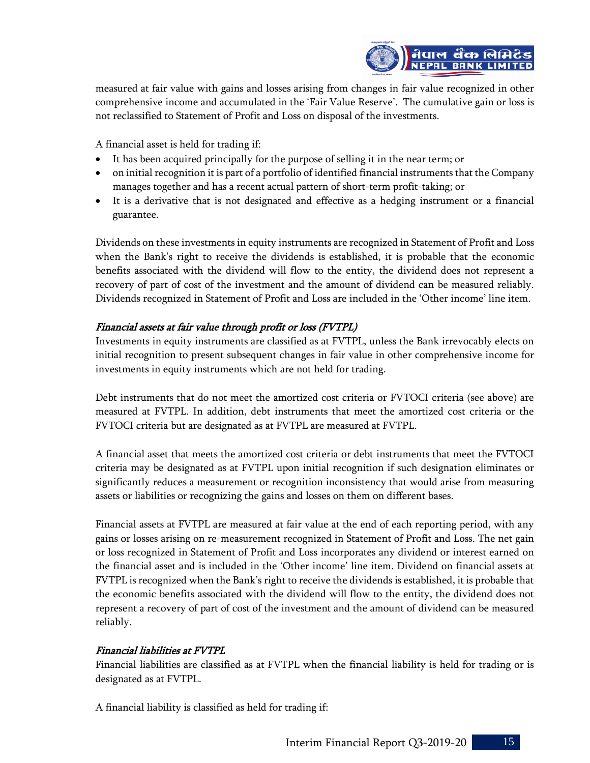

measured at fair value with gains and losses arising from changes in fair value recognized in other comprehensive income and accumulated in the 'Fair Value Reserve'. The cumulative gain or loss is not reclassified to Statement of Profit and Loss on disposal of the investments.

A financial asset is held for trading if:

- It has been acquired principally for the purpose of selling it in the near term; or
- on initial recognition it is part of a portfolio of identified financial instruments that the Company manages together and has a recent actual pattern of short-term profit-taking; or
- It is a derivative that is not designated and effective as a hedging instrument or a financial guarantee.

Dividends on these investments in equity instruments are recognized in Statement of Profit and Loss when the Bank's right to receive the dividends is established, it is probable that the economic benefits associated with the dividend will flow to the entity, the dividend does not represent a recovery of part of cost of the investment and the amount of dividend can be measured reliably. Dividends recognized in Statement of Profit and Loss are included in the 'Other income' line item.

# Financial assets at fair value through profit or loss (FVTPL)

Investments in equity instruments are classified as at FVTPL, unless the Bank irrevocably elects on initial recognition to present subsequent changes in fair value in other comprehensive income for investments in equity instruments which are not held for trading.

Debt instruments that do not meet the amortized cost criteria or FVTOCI criteria (see above) are measured at FVTPL. In addition, debt instruments that meet the amortized cost criteria or the FVTOCI criteria but are designated as at FVTPL are measured at FVTPL.

A financial asset that meets the amortized cost criteria or debt instruments that meet the FVTOCI criteria may be designated as at FVTPL upon initial recognition if such designation eliminates or significantly reduces a measurement or recognition inconsistency that would arise from measuring assets or liabilities or recognizing the gains and losses on them on different bases.

Financial assets at FVTPL are measured at fair value at the end of each reporting period, with any gains or losses arising on re-measurement recognized in Statement of Profit and Loss. The net gain or loss recognized in Statement of Profit and Loss incorporates any dividend or interest earned on the financial asset and is included in the 'Other income' line item. Dividend on financial assets at FVTPL is recognized when the Bank's right to receive the dividends is established, it is probable that the economic benefits associated with the dividend will flow to the entity, the dividend does not represent a recovery of part of cost of the investment and the amount of dividend can be measured reliably.

# Financial liabilities at FVTPL

Financial liabilities are classified as at FVTPL when the financial liability is held for trading or is designated as at FVTPL.

A financial liability is classified as held for trading if: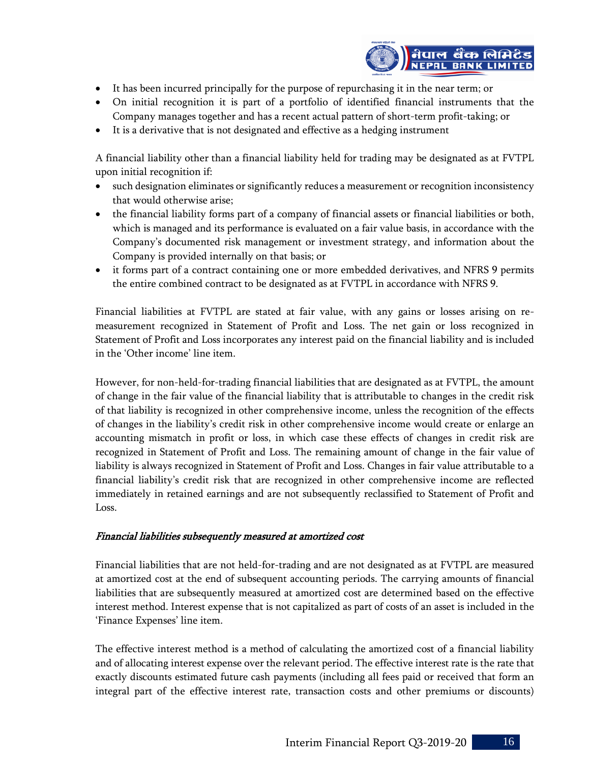

- It has been incurred principally for the purpose of repurchasing it in the near term; or
- On initial recognition it is part of a portfolio of identified financial instruments that the Company manages together and has a recent actual pattern of short-term profit-taking; or
- It is a derivative that is not designated and effective as a hedging instrument

A financial liability other than a financial liability held for trading may be designated as at FVTPL upon initial recognition if:

- such designation eliminates or significantly reduces a measurement or recognition inconsistency that would otherwise arise;
- the financial liability forms part of a company of financial assets or financial liabilities or both, which is managed and its performance is evaluated on a fair value basis, in accordance with the Company's documented risk management or investment strategy, and information about the Company is provided internally on that basis; or
- it forms part of a contract containing one or more embedded derivatives, and NFRS 9 permits the entire combined contract to be designated as at FVTPL in accordance with NFRS 9.

Financial liabilities at FVTPL are stated at fair value, with any gains or losses arising on remeasurement recognized in Statement of Profit and Loss. The net gain or loss recognized in Statement of Profit and Loss incorporates any interest paid on the financial liability and is included in the 'Other income' line item.

However, for non-held-for-trading financial liabilities that are designated as at FVTPL, the amount of change in the fair value of the financial liability that is attributable to changes in the credit risk of that liability is recognized in other comprehensive income, unless the recognition of the effects of changes in the liability's credit risk in other comprehensive income would create or enlarge an accounting mismatch in profit or loss, in which case these effects of changes in credit risk are recognized in Statement of Profit and Loss. The remaining amount of change in the fair value of liability is always recognized in Statement of Profit and Loss. Changes in fair value attributable to a financial liability's credit risk that are recognized in other comprehensive income are reflected immediately in retained earnings and are not subsequently reclassified to Statement of Profit and Loss.

## Financial liabilities subsequently measured at amortized cost

Financial liabilities that are not held-for-trading and are not designated as at FVTPL are measured at amortized cost at the end of subsequent accounting periods. The carrying amounts of financial liabilities that are subsequently measured at amortized cost are determined based on the effective interest method. Interest expense that is not capitalized as part of costs of an asset is included in the 'Finance Expenses' line item.

The effective interest method is a method of calculating the amortized cost of a financial liability and of allocating interest expense over the relevant period. The effective interest rate is the rate that exactly discounts estimated future cash payments (including all fees paid or received that form an integral part of the effective interest rate, transaction costs and other premiums or discounts)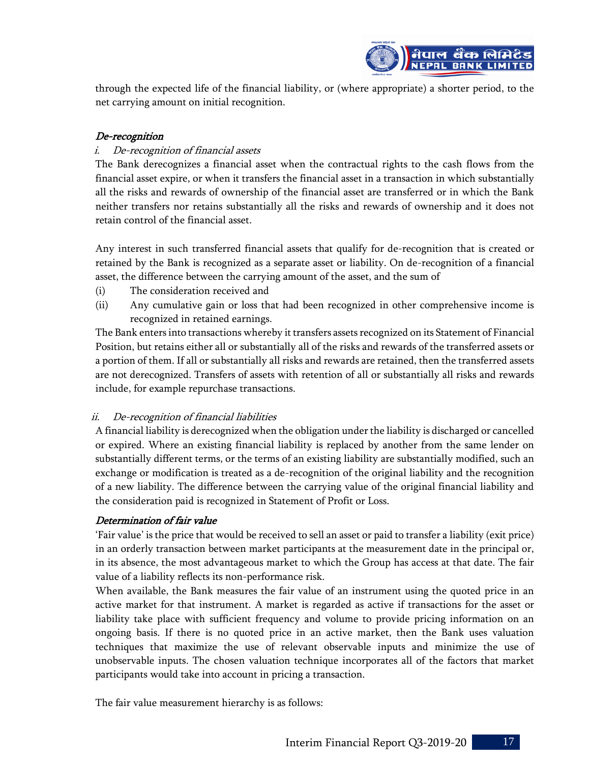

through the expected life of the financial liability, or (where appropriate) a shorter period, to the net carrying amount on initial recognition.

# De-recognition

# i. De-recognition of financial assets

The Bank derecognizes a financial asset when the contractual rights to the cash flows from the financial asset expire, or when it transfers the financial asset in a transaction in which substantially all the risks and rewards of ownership of the financial asset are transferred or in which the Bank neither transfers nor retains substantially all the risks and rewards of ownership and it does not retain control of the financial asset.

Any interest in such transferred financial assets that qualify for de-recognition that is created or retained by the Bank is recognized as a separate asset or liability. On de-recognition of a financial asset, the difference between the carrying amount of the asset, and the sum of

- (i) The consideration received and
- (ii) Any cumulative gain or loss that had been recognized in other comprehensive income is recognized in retained earnings.

The Bank enters into transactions whereby it transfers assets recognized on its Statement of Financial Position, but retains either all or substantially all of the risks and rewards of the transferred assets or a portion of them. If all or substantially all risks and rewards are retained, then the transferred assets are not derecognized. Transfers of assets with retention of all or substantially all risks and rewards include, for example repurchase transactions.

# ii. De-recognition of financial liabilities

A financial liability is derecognized when the obligation under the liability is discharged or cancelled or expired. Where an existing financial liability is replaced by another from the same lender on substantially different terms, or the terms of an existing liability are substantially modified, such an exchange or modification is treated as a de-recognition of the original liability and the recognition of a new liability. The difference between the carrying value of the original financial liability and the consideration paid is recognized in Statement of Profit or Loss.

# Determination of fair value

'Fair value' is the price that would be received to sell an asset or paid to transfer a liability (exit price) in an orderly transaction between market participants at the measurement date in the principal or, in its absence, the most advantageous market to which the Group has access at that date. The fair value of a liability reflects its non-performance risk.

When available, the Bank measures the fair value of an instrument using the quoted price in an active market for that instrument. A market is regarded as active if transactions for the asset or liability take place with sufficient frequency and volume to provide pricing information on an ongoing basis. If there is no quoted price in an active market, then the Bank uses valuation techniques that maximize the use of relevant observable inputs and minimize the use of unobservable inputs. The chosen valuation technique incorporates all of the factors that market participants would take into account in pricing a transaction.

The fair value measurement hierarchy is as follows:

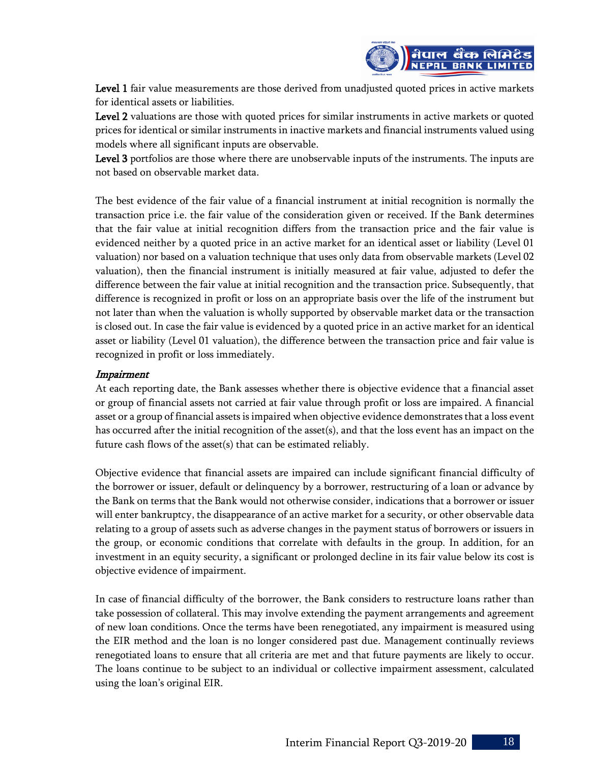

Level 1 fair value measurements are those derived from unadjusted quoted prices in active markets for identical assets or liabilities.

Level 2 valuations are those with quoted prices for similar instruments in active markets or quoted prices for identical or similar instruments in inactive markets and financial instruments valued using models where all significant inputs are observable.

Level 3 portfolios are those where there are unobservable inputs of the instruments. The inputs are not based on observable market data.

The best evidence of the fair value of a financial instrument at initial recognition is normally the transaction price i.e. the fair value of the consideration given or received. If the Bank determines that the fair value at initial recognition differs from the transaction price and the fair value is evidenced neither by a quoted price in an active market for an identical asset or liability (Level 01 valuation) nor based on a valuation technique that uses only data from observable markets (Level 02 valuation), then the financial instrument is initially measured at fair value, adjusted to defer the difference between the fair value at initial recognition and the transaction price. Subsequently, that difference is recognized in profit or loss on an appropriate basis over the life of the instrument but not later than when the valuation is wholly supported by observable market data or the transaction is closed out. In case the fair value is evidenced by a quoted price in an active market for an identical asset or liability (Level 01 valuation), the difference between the transaction price and fair value is recognized in profit or loss immediately.

# Impairment

At each reporting date, the Bank assesses whether there is objective evidence that a financial asset or group of financial assets not carried at fair value through profit or loss are impaired. A financial asset or a group of financial assets is impaired when objective evidence demonstrates that a loss event has occurred after the initial recognition of the asset(s), and that the loss event has an impact on the future cash flows of the asset(s) that can be estimated reliably.

Objective evidence that financial assets are impaired can include significant financial difficulty of the borrower or issuer, default or delinquency by a borrower, restructuring of a loan or advance by the Bank on terms that the Bank would not otherwise consider, indications that a borrower or issuer will enter bankruptcy, the disappearance of an active market for a security, or other observable data relating to a group of assets such as adverse changes in the payment status of borrowers or issuers in the group, or economic conditions that correlate with defaults in the group. In addition, for an investment in an equity security, a significant or prolonged decline in its fair value below its cost is objective evidence of impairment.

In case of financial difficulty of the borrower, the Bank considers to restructure loans rather than take possession of collateral. This may involve extending the payment arrangements and agreement of new loan conditions. Once the terms have been renegotiated, any impairment is measured using the EIR method and the loan is no longer considered past due. Management continually reviews renegotiated loans to ensure that all criteria are met and that future payments are likely to occur. The loans continue to be subject to an individual or collective impairment assessment, calculated using the loan's original EIR.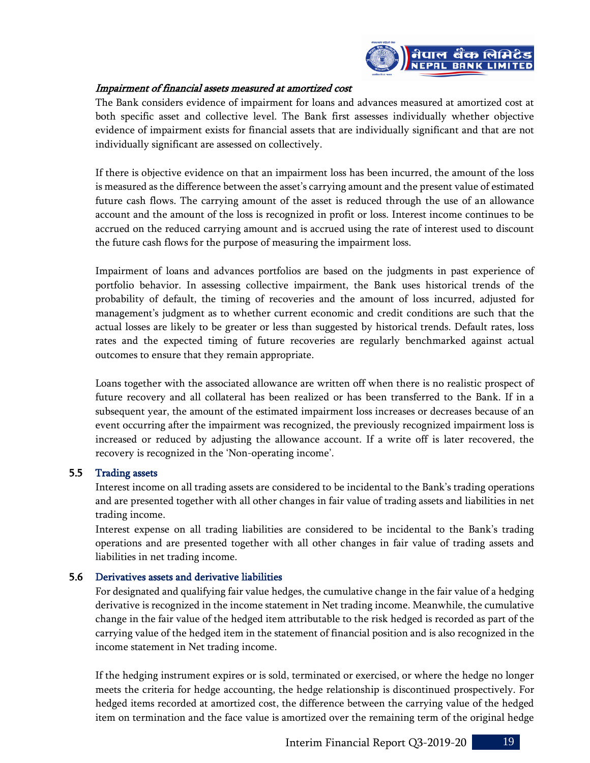

# Impairment of financial assets measured at amortized cost

The Bank considers evidence of impairment for loans and advances measured at amortized cost at both specific asset and collective level. The Bank first assesses individually whether objective evidence of impairment exists for financial assets that are individually significant and that are not individually significant are assessed on collectively.

If there is objective evidence on that an impairment loss has been incurred, the amount of the loss is measured as the difference between the asset's carrying amount and the present value of estimated future cash flows. The carrying amount of the asset is reduced through the use of an allowance account and the amount of the loss is recognized in profit or loss. Interest income continues to be accrued on the reduced carrying amount and is accrued using the rate of interest used to discount the future cash flows for the purpose of measuring the impairment loss.

Impairment of loans and advances portfolios are based on the judgments in past experience of portfolio behavior. In assessing collective impairment, the Bank uses historical trends of the probability of default, the timing of recoveries and the amount of loss incurred, adjusted for management's judgment as to whether current economic and credit conditions are such that the actual losses are likely to be greater or less than suggested by historical trends. Default rates, loss rates and the expected timing of future recoveries are regularly benchmarked against actual outcomes to ensure that they remain appropriate.

Loans together with the associated allowance are written off when there is no realistic prospect of future recovery and all collateral has been realized or has been transferred to the Bank. If in a subsequent year, the amount of the estimated impairment loss increases or decreases because of an event occurring after the impairment was recognized, the previously recognized impairment loss is increased or reduced by adjusting the allowance account. If a write off is later recovered, the recovery is recognized in the 'Non-operating income'.

## 5.5 Trading assets

Interest income on all trading assets are considered to be incidental to the Bank's trading operations and are presented together with all other changes in fair value of trading assets and liabilities in net trading income.

Interest expense on all trading liabilities are considered to be incidental to the Bank's trading operations and are presented together with all other changes in fair value of trading assets and liabilities in net trading income.

## 5.6 Derivatives assets and derivative liabilities

For designated and qualifying fair value hedges, the cumulative change in the fair value of a hedging derivative is recognized in the income statement in Net trading income. Meanwhile, the cumulative change in the fair value of the hedged item attributable to the risk hedged is recorded as part of the carrying value of the hedged item in the statement of financial position and is also recognized in the income statement in Net trading income.

If the hedging instrument expires or is sold, terminated or exercised, or where the hedge no longer meets the criteria for hedge accounting, the hedge relationship is discontinued prospectively. For hedged items recorded at amortized cost, the difference between the carrying value of the hedged item on termination and the face value is amortized over the remaining term of the original hedge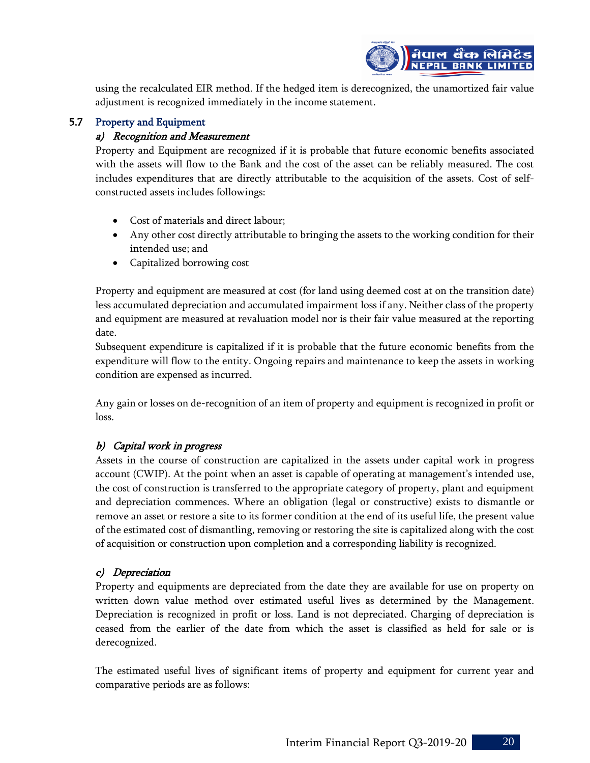

using the recalculated EIR method. If the hedged item is derecognized, the unamortized fair value adjustment is recognized immediately in the income statement.

# 5.7 Property and Equipment

# a) Recognition and Measurement

Property and Equipment are recognized if it is probable that future economic benefits associated with the assets will flow to the Bank and the cost of the asset can be reliably measured. The cost includes expenditures that are directly attributable to the acquisition of the assets. Cost of selfconstructed assets includes followings:

- Cost of materials and direct labour;
- Any other cost directly attributable to bringing the assets to the working condition for their intended use; and
- Capitalized borrowing cost

Property and equipment are measured at cost (for land using deemed cost at on the transition date) less accumulated depreciation and accumulated impairment loss if any. Neither class of the property and equipment are measured at revaluation model nor is their fair value measured at the reporting date.

Subsequent expenditure is capitalized if it is probable that the future economic benefits from the expenditure will flow to the entity. Ongoing repairs and maintenance to keep the assets in working condition are expensed as incurred.

Any gain or losses on de-recognition of an item of property and equipment is recognized in profit or loss.

# b) Capital work in progress

Assets in the course of construction are capitalized in the assets under capital work in progress account (CWIP). At the point when an asset is capable of operating at management's intended use, the cost of construction is transferred to the appropriate category of property, plant and equipment and depreciation commences. Where an obligation (legal or constructive) exists to dismantle or remove an asset or restore a site to its former condition at the end of its useful life, the present value of the estimated cost of dismantling, removing or restoring the site is capitalized along with the cost of acquisition or construction upon completion and a corresponding liability is recognized.

# c) Depreciation

Property and equipments are depreciated from the date they are available for use on property on written down value method over estimated useful lives as determined by the Management. Depreciation is recognized in profit or loss. Land is not depreciated. Charging of depreciation is ceased from the earlier of the date from which the asset is classified as held for sale or is derecognized.

The estimated useful lives of significant items of property and equipment for current year and comparative periods are as follows: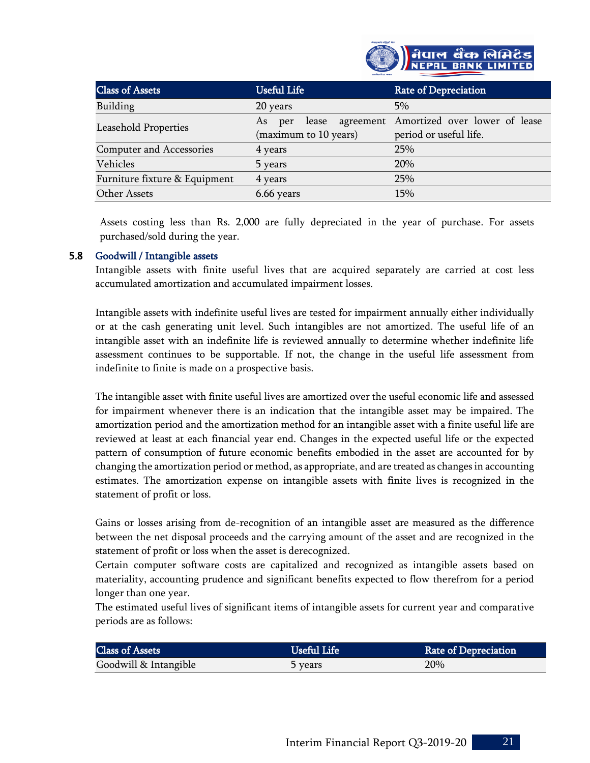

| <b>Class of Assets</b>          | <b>Useful Life</b>                          | <b>Rate of Depreciation</b>                                       |
|---------------------------------|---------------------------------------------|-------------------------------------------------------------------|
| Building                        | 20 years                                    | $5\%$                                                             |
| Leasehold Properties            | As<br>lease<br>per<br>(maximum to 10 years) | agreement Amortized over lower of lease<br>period or useful life. |
| <b>Computer and Accessories</b> | 4 years                                     | 25%                                                               |
| Vehicles                        | 5 years                                     | 20%                                                               |
| Furniture fixture & Equipment   | 4 years                                     | 25%                                                               |
| Other Assets                    | 6.66 years                                  | 15%                                                               |

Assets costing less than Rs. 2,000 are fully depreciated in the year of purchase. For assets purchased/sold during the year.

## 5.8 Goodwill / Intangible assets

Intangible assets with finite useful lives that are acquired separately are carried at cost less accumulated amortization and accumulated impairment losses.

Intangible assets with indefinite useful lives are tested for impairment annually either individually or at the cash generating unit level. Such intangibles are not amortized. The useful life of an intangible asset with an indefinite life is reviewed annually to determine whether indefinite life assessment continues to be supportable. If not, the change in the useful life assessment from indefinite to finite is made on a prospective basis.

The intangible asset with finite useful lives are amortized over the useful economic life and assessed for impairment whenever there is an indication that the intangible asset may be impaired. The amortization period and the amortization method for an intangible asset with a finite useful life are reviewed at least at each financial year end. Changes in the expected useful life or the expected pattern of consumption of future economic benefits embodied in the asset are accounted for by changing the amortization period or method, as appropriate, and are treated as changes in accounting estimates. The amortization expense on intangible assets with finite lives is recognized in the statement of profit or loss.

Gains or losses arising from de-recognition of an intangible asset are measured as the difference between the net disposal proceeds and the carrying amount of the asset and are recognized in the statement of profit or loss when the asset is derecognized.

Certain computer software costs are capitalized and recognized as intangible assets based on materiality, accounting prudence and significant benefits expected to flow therefrom for a period longer than one year.

The estimated useful lives of significant items of intangible assets for current year and comparative periods are as follows:

| <b>Class of Assets</b> |         | <b>Rate of Depreciation</b> |
|------------------------|---------|-----------------------------|
| Goodwill & Intangible  | 5 years | 20%                         |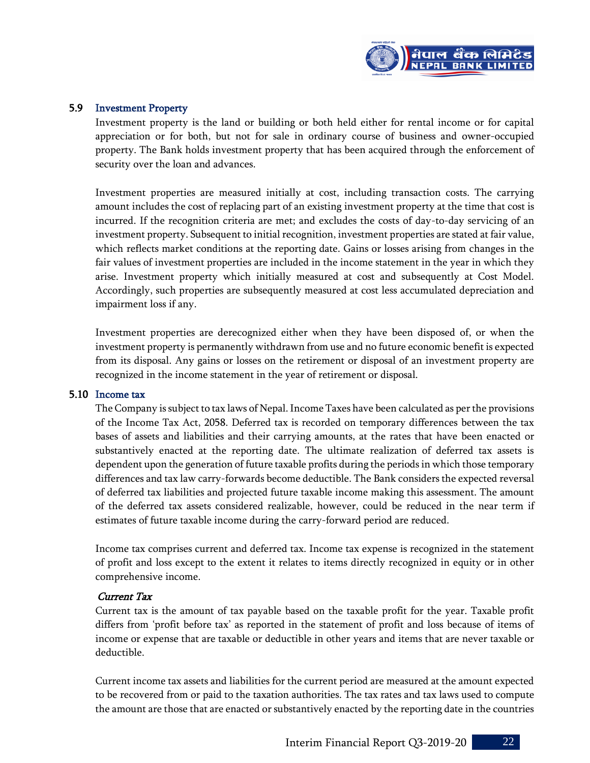

## 5.9 Investment Property

Investment property is the land or building or both held either for rental income or for capital appreciation or for both, but not for sale in ordinary course of business and owner-occupied property. The Bank holds investment property that has been acquired through the enforcement of security over the loan and advances.

Investment properties are measured initially at cost, including transaction costs. The carrying amount includes the cost of replacing part of an existing investment property at the time that cost is incurred. If the recognition criteria are met; and excludes the costs of day-to-day servicing of an investment property. Subsequent to initial recognition, investment properties are stated at fair value, which reflects market conditions at the reporting date. Gains or losses arising from changes in the fair values of investment properties are included in the income statement in the year in which they arise. Investment property which initially measured at cost and subsequently at Cost Model. Accordingly, such properties are subsequently measured at cost less accumulated depreciation and impairment loss if any.

Investment properties are derecognized either when they have been disposed of, or when the investment property is permanently withdrawn from use and no future economic benefit is expected from its disposal. Any gains or losses on the retirement or disposal of an investment property are recognized in the income statement in the year of retirement or disposal.

#### 5.10 Income tax

The Company is subject to tax laws of Nepal. Income Taxes have been calculated as per the provisions of the Income Tax Act, 2058. Deferred tax is recorded on temporary differences between the tax bases of assets and liabilities and their carrying amounts, at the rates that have been enacted or substantively enacted at the reporting date. The ultimate realization of deferred tax assets is dependent upon the generation of future taxable profits during the periods in which those temporary differences and tax law carry-forwards become deductible. The Bank considers the expected reversal of deferred tax liabilities and projected future taxable income making this assessment. The amount of the deferred tax assets considered realizable, however, could be reduced in the near term if estimates of future taxable income during the carry-forward period are reduced.

Income tax comprises current and deferred tax. Income tax expense is recognized in the statement of profit and loss except to the extent it relates to items directly recognized in equity or in other comprehensive income.

#### Current Tax

Current tax is the amount of tax payable based on the taxable profit for the year. Taxable profit differs from 'profit before tax' as reported in the statement of profit and loss because of items of income or expense that are taxable or deductible in other years and items that are never taxable or deductible.

Current income tax assets and liabilities for the current period are measured at the amount expected to be recovered from or paid to the taxation authorities. The tax rates and tax laws used to compute the amount are those that are enacted or substantively enacted by the reporting date in the countries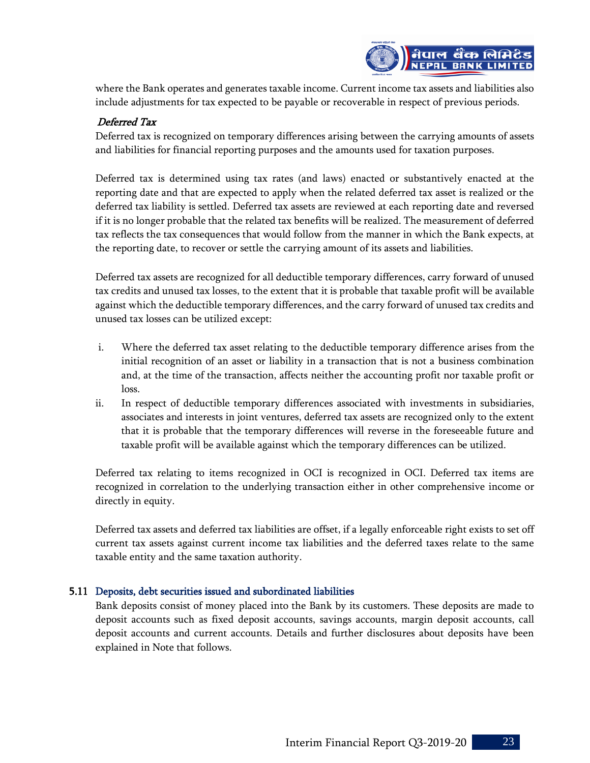

where the Bank operates and generates taxable income. Current income tax assets and liabilities also include adjustments for tax expected to be payable or recoverable in respect of previous periods.

# Deferred Tax

Deferred tax is recognized on temporary differences arising between the carrying amounts of assets and liabilities for financial reporting purposes and the amounts used for taxation purposes.

Deferred tax is determined using tax rates (and laws) enacted or substantively enacted at the reporting date and that are expected to apply when the related deferred tax asset is realized or the deferred tax liability is settled. Deferred tax assets are reviewed at each reporting date and reversed if it is no longer probable that the related tax benefits will be realized. The measurement of deferred tax reflects the tax consequences that would follow from the manner in which the Bank expects, at the reporting date, to recover or settle the carrying amount of its assets and liabilities.

Deferred tax assets are recognized for all deductible temporary differences, carry forward of unused tax credits and unused tax losses, to the extent that it is probable that taxable profit will be available against which the deductible temporary differences, and the carry forward of unused tax credits and unused tax losses can be utilized except:

- i. Where the deferred tax asset relating to the deductible temporary difference arises from the initial recognition of an asset or liability in a transaction that is not a business combination and, at the time of the transaction, affects neither the accounting profit nor taxable profit or loss.
- ii. In respect of deductible temporary differences associated with investments in subsidiaries, associates and interests in joint ventures, deferred tax assets are recognized only to the extent that it is probable that the temporary differences will reverse in the foreseeable future and taxable profit will be available against which the temporary differences can be utilized.

Deferred tax relating to items recognized in OCI is recognized in OCI. Deferred tax items are recognized in correlation to the underlying transaction either in other comprehensive income or directly in equity.

Deferred tax assets and deferred tax liabilities are offset, if a legally enforceable right exists to set off current tax assets against current income tax liabilities and the deferred taxes relate to the same taxable entity and the same taxation authority.

## 5.11 Deposits, debt securities issued and subordinated liabilities

Bank deposits consist of money placed into the Bank by its customers. These deposits are made to deposit accounts such as fixed deposit accounts, savings accounts, margin deposit accounts, call deposit accounts and current accounts. Details and further disclosures about deposits have been explained in Note that follows.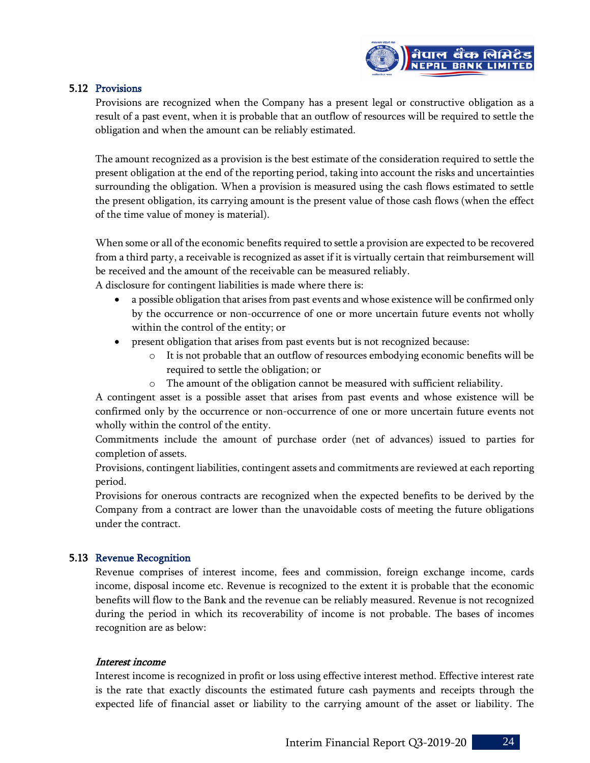

## 5.12 Provisions

Provisions are recognized when the Company has a present legal or constructive obligation as a result of a past event, when it is probable that an outflow of resources will be required to settle the obligation and when the amount can be reliably estimated.

The amount recognized as a provision is the best estimate of the consideration required to settle the present obligation at the end of the reporting period, taking into account the risks and uncertainties surrounding the obligation. When a provision is measured using the cash flows estimated to settle the present obligation, its carrying amount is the present value of those cash flows (when the effect of the time value of money is material).

When some or all of the economic benefits required to settle a provision are expected to be recovered from a third party, a receivable is recognized as asset if it is virtually certain that reimbursement will be received and the amount of the receivable can be measured reliably.

A disclosure for contingent liabilities is made where there is:

- a possible obligation that arises from past events and whose existence will be confirmed only by the occurrence or non-occurrence of one or more uncertain future events not wholly within the control of the entity; or
- present obligation that arises from past events but is not recognized because:
	- $\circ$  It is not probable that an outflow of resources embodying economic benefits will be required to settle the obligation; or
	- o The amount of the obligation cannot be measured with sufficient reliability.

A contingent asset is a possible asset that arises from past events and whose existence will be confirmed only by the occurrence or non-occurrence of one or more uncertain future events not wholly within the control of the entity.

Commitments include the amount of purchase order (net of advances) issued to parties for completion of assets.

Provisions, contingent liabilities, contingent assets and commitments are reviewed at each reporting period.

Provisions for onerous contracts are recognized when the expected benefits to be derived by the Company from a contract are lower than the unavoidable costs of meeting the future obligations under the contract.

# 5.13 Revenue Recognition

Revenue comprises of interest income, fees and commission, foreign exchange income, cards income, disposal income etc. Revenue is recognized to the extent it is probable that the economic benefits will flow to the Bank and the revenue can be reliably measured. Revenue is not recognized during the period in which its recoverability of income is not probable. The bases of incomes recognition are as below:

## Interest income

Interest income is recognized in profit or loss using effective interest method. Effective interest rate is the rate that exactly discounts the estimated future cash payments and receipts through the expected life of financial asset or liability to the carrying amount of the asset or liability. The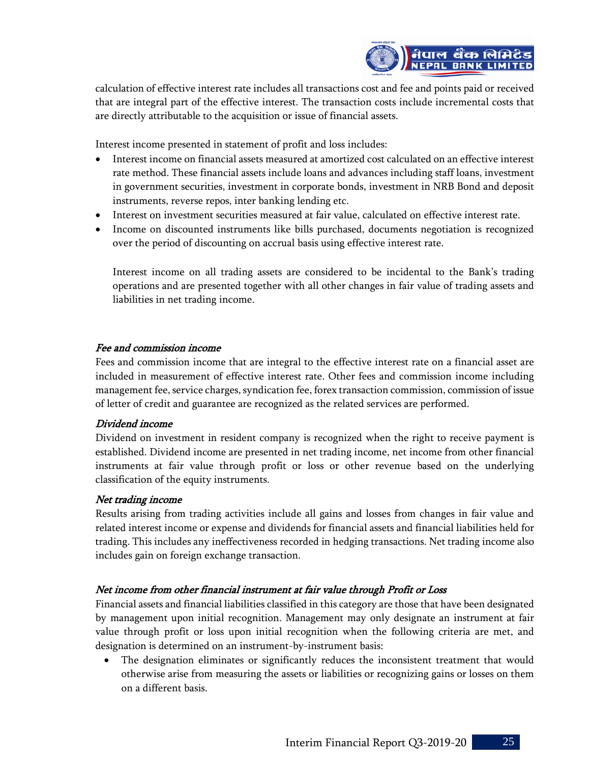

calculation of effective interest rate includes all transactions cost and fee and points paid or received that are integral part of the effective interest. The transaction costs include incremental costs that are directly attributable to the acquisition or issue of financial assets.

Interest income presented in statement of profit and loss includes:

- Interest income on financial assets measured at amortized cost calculated on an effective interest rate method. These financial assets include loans and advances including staff loans, investment in government securities, investment in corporate bonds, investment in NRB Bond and deposit instruments, reverse repos, inter banking lending etc.
- Interest on investment securities measured at fair value, calculated on effective interest rate.
- Income on discounted instruments like bills purchased, documents negotiation is recognized over the period of discounting on accrual basis using effective interest rate.

Interest income on all trading assets are considered to be incidental to the Bank's trading operations and are presented together with all other changes in fair value of trading assets and liabilities in net trading income.

# Fee and commission income

Fees and commission income that are integral to the effective interest rate on a financial asset are included in measurement of effective interest rate. Other fees and commission income including management fee, service charges, syndication fee, forex transaction commission, commission of issue of letter of credit and guarantee are recognized as the related services are performed.

## Dividend income

Dividend on investment in resident company is recognized when the right to receive payment is established. Dividend income are presented in net trading income, net income from other financial instruments at fair value through profit or loss or other revenue based on the underlying classification of the equity instruments.

## Net trading income

Results arising from trading activities include all gains and losses from changes in fair value and related interest income or expense and dividends for financial assets and financial liabilities held for trading. This includes any ineffectiveness recorded in hedging transactions. Net trading income also includes gain on foreign exchange transaction.

# Net income from other financial instrument at fair value through Profit or Loss

Financial assets and financial liabilities classified in this category are those that have been designated by management upon initial recognition. Management may only designate an instrument at fair value through profit or loss upon initial recognition when the following criteria are met, and designation is determined on an instrument-by-instrument basis:

The designation eliminates or significantly reduces the inconsistent treatment that would otherwise arise from measuring the assets or liabilities or recognizing gains or losses on them on a different basis.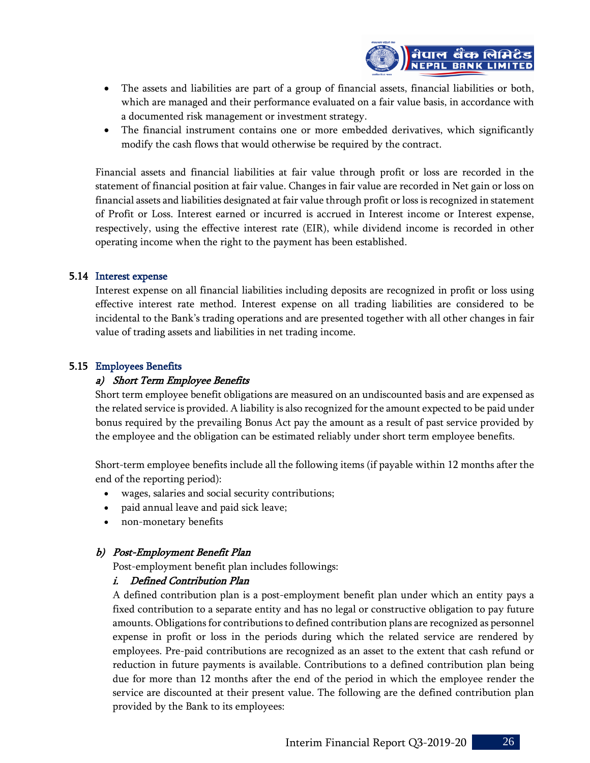

- The assets and liabilities are part of a group of financial assets, financial liabilities or both, which are managed and their performance evaluated on a fair value basis, in accordance with a documented risk management or investment strategy.
- The financial instrument contains one or more embedded derivatives, which significantly modify the cash flows that would otherwise be required by the contract.

Financial assets and financial liabilities at fair value through profit or loss are recorded in the statement of financial position at fair value. Changes in fair value are recorded in Net gain or loss on financial assets and liabilities designated at fair value through profit or loss is recognized in statement of Profit or Loss. Interest earned or incurred is accrued in Interest income or Interest expense, respectively, using the effective interest rate (EIR), while dividend income is recorded in other operating income when the right to the payment has been established.

# 5.14 Interest expense

Interest expense on all financial liabilities including deposits are recognized in profit or loss using effective interest rate method. Interest expense on all trading liabilities are considered to be incidental to the Bank's trading operations and are presented together with all other changes in fair value of trading assets and liabilities in net trading income.

# 5.15 Employees Benefits

# a) Short Term Employee Benefits

Short term employee benefit obligations are measured on an undiscounted basis and are expensed as the related service is provided. A liability is also recognized for the amount expected to be paid under bonus required by the prevailing Bonus Act pay the amount as a result of past service provided by the employee and the obligation can be estimated reliably under short term employee benefits.

Short-term employee benefits include all the following items (if payable within 12 months after the end of the reporting period):

- wages, salaries and social security contributions;
- paid annual leave and paid sick leave;
- non-monetary benefits

# b) Post-Employment Benefit Plan

Post-employment benefit plan includes followings:

## i. Defined Contribution Plan

A defined contribution plan is a post-employment benefit plan under which an entity pays a fixed contribution to a separate entity and has no legal or constructive obligation to pay future amounts. Obligations for contributions to defined contribution plans are recognized as personnel expense in profit or loss in the periods during which the related service are rendered by employees. Pre-paid contributions are recognized as an asset to the extent that cash refund or reduction in future payments is available. Contributions to a defined contribution plan being due for more than 12 months after the end of the period in which the employee render the service are discounted at their present value. The following are the defined contribution plan provided by the Bank to its employees: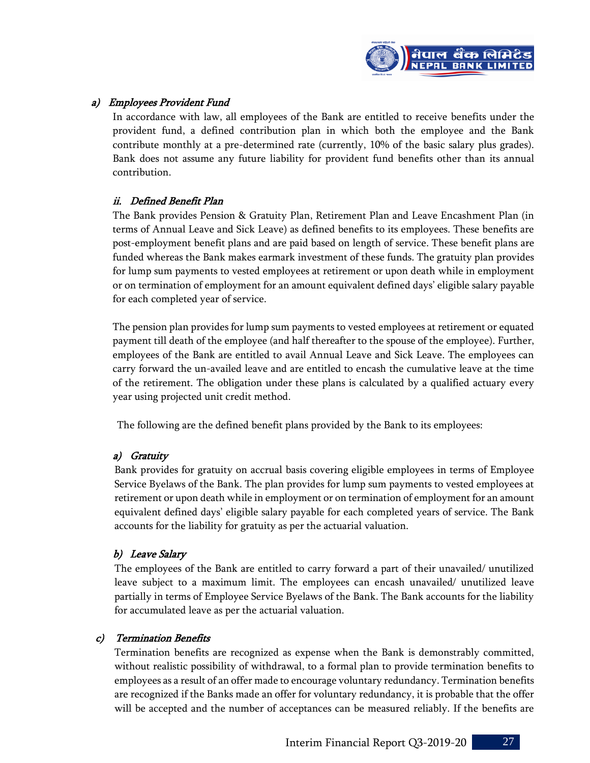

# a) Employees Provident Fund

In accordance with law, all employees of the Bank are entitled to receive benefits under the provident fund, a defined contribution plan in which both the employee and the Bank contribute monthly at a pre-determined rate (currently, 10% of the basic salary plus grades). Bank does not assume any future liability for provident fund benefits other than its annual contribution.

# ii. Defined Benefit Plan

The Bank provides Pension & Gratuity Plan, Retirement Plan and Leave Encashment Plan (in terms of Annual Leave and Sick Leave) as defined benefits to its employees. These benefits are post-employment benefit plans and are paid based on length of service. These benefit plans are funded whereas the Bank makes earmark investment of these funds. The gratuity plan provides for lump sum payments to vested employees at retirement or upon death while in employment or on termination of employment for an amount equivalent defined days' eligible salary payable for each completed year of service.

The pension plan provides for lump sum payments to vested employees at retirement or equated payment till death of the employee (and half thereafter to the spouse of the employee). Further, employees of the Bank are entitled to avail Annual Leave and Sick Leave. The employees can carry forward the un-availed leave and are entitled to encash the cumulative leave at the time of the retirement. The obligation under these plans is calculated by a qualified actuary every year using projected unit credit method.

The following are the defined benefit plans provided by the Bank to its employees:

# a) Gratuity

Bank provides for gratuity on accrual basis covering eligible employees in terms of Employee Service Byelaws of the Bank. The plan provides for lump sum payments to vested employees at retirement or upon death while in employment or on termination of employment for an amount equivalent defined days' eligible salary payable for each completed years of service. The Bank accounts for the liability for gratuity as per the actuarial valuation.

# b) Leave Salary

The employees of the Bank are entitled to carry forward a part of their unavailed/ unutilized leave subject to a maximum limit. The employees can encash unavailed/ unutilized leave partially in terms of Employee Service Byelaws of the Bank. The Bank accounts for the liability for accumulated leave as per the actuarial valuation.

# c) Termination Benefits

Termination benefits are recognized as expense when the Bank is demonstrably committed, without realistic possibility of withdrawal, to a formal plan to provide termination benefits to employees as a result of an offer made to encourage voluntary redundancy. Termination benefits are recognized if the Banks made an offer for voluntary redundancy, it is probable that the offer will be accepted and the number of acceptances can be measured reliably. If the benefits are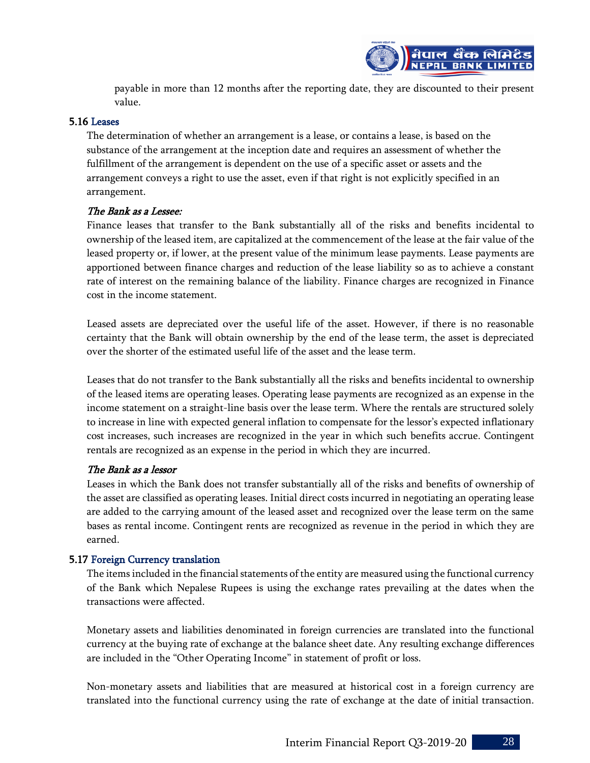

payable in more than 12 months after the reporting date, they are discounted to their present value.

## 5.16 Leases

The determination of whether an arrangement is a lease, or contains a lease, is based on the substance of the arrangement at the inception date and requires an assessment of whether the fulfillment of the arrangement is dependent on the use of a specific asset or assets and the arrangement conveys a right to use the asset, even if that right is not explicitly specified in an arrangement.

## The Bank as a Lessee:

Finance leases that transfer to the Bank substantially all of the risks and benefits incidental to ownership of the leased item, are capitalized at the commencement of the lease at the fair value of the leased property or, if lower, at the present value of the minimum lease payments. Lease payments are apportioned between finance charges and reduction of the lease liability so as to achieve a constant rate of interest on the remaining balance of the liability. Finance charges are recognized in Finance cost in the income statement.

Leased assets are depreciated over the useful life of the asset. However, if there is no reasonable certainty that the Bank will obtain ownership by the end of the lease term, the asset is depreciated over the shorter of the estimated useful life of the asset and the lease term.

Leases that do not transfer to the Bank substantially all the risks and benefits incidental to ownership of the leased items are operating leases. Operating lease payments are recognized as an expense in the income statement on a straight-line basis over the lease term. Where the rentals are structured solely to increase in line with expected general inflation to compensate for the lessor's expected inflationary cost increases, such increases are recognized in the year in which such benefits accrue. Contingent rentals are recognized as an expense in the period in which they are incurred.

## The Bank as a lessor

Leases in which the Bank does not transfer substantially all of the risks and benefits of ownership of the asset are classified as operating leases. Initial direct costs incurred in negotiating an operating lease are added to the carrying amount of the leased asset and recognized over the lease term on the same bases as rental income. Contingent rents are recognized as revenue in the period in which they are earned.

## 5.17 Foreign Currency translation

The items included in the financial statements of the entity are measured using the functional currency of the Bank which Nepalese Rupees is using the exchange rates prevailing at the dates when the transactions were affected.

Monetary assets and liabilities denominated in foreign currencies are translated into the functional currency at the buying rate of exchange at the balance sheet date. Any resulting exchange differences are included in the "Other Operating Income" in statement of profit or loss.

Non-monetary assets and liabilities that are measured at historical cost in a foreign currency are translated into the functional currency using the rate of exchange at the date of initial transaction.

Interim Financial Report Q3-2019-20 28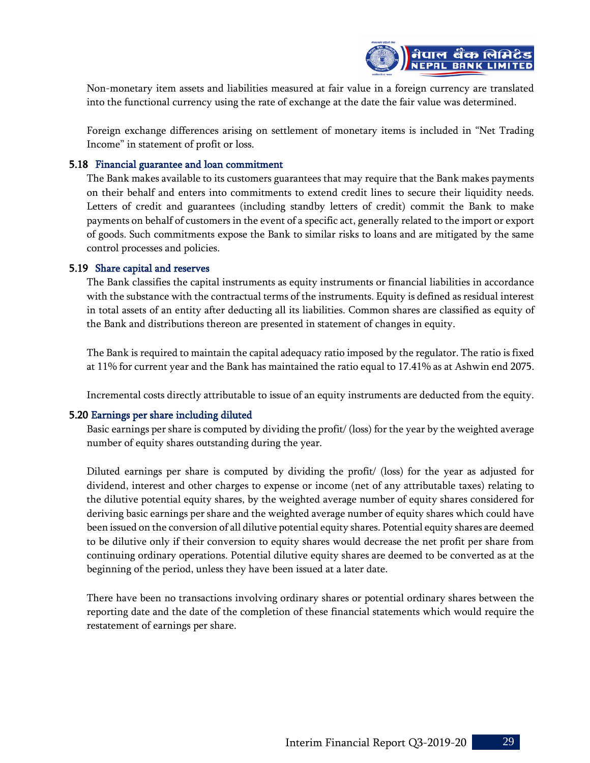

Non-monetary item assets and liabilities measured at fair value in a foreign currency are translated into the functional currency using the rate of exchange at the date the fair value was determined.

Foreign exchange differences arising on settlement of monetary items is included in "Net Trading Income" in statement of profit or loss.

# 5.18 Financial guarantee and loan commitment

The Bank makes available to its customers guarantees that may require that the Bank makes payments on their behalf and enters into commitments to extend credit lines to secure their liquidity needs. Letters of credit and guarantees (including standby letters of credit) commit the Bank to make payments on behalf of customers in the event of a specific act, generally related to the import or export of goods. Such commitments expose the Bank to similar risks to loans and are mitigated by the same control processes and policies.

## 5.19 Share capital and reserves

The Bank classifies the capital instruments as equity instruments or financial liabilities in accordance with the substance with the contractual terms of the instruments. Equity is defined as residual interest in total assets of an entity after deducting all its liabilities. Common shares are classified as equity of the Bank and distributions thereon are presented in statement of changes in equity.

The Bank is required to maintain the capital adequacy ratio imposed by the regulator. The ratio is fixed at 11% for current year and the Bank has maintained the ratio equal to 17.41% as at Ashwin end 2075.

Incremental costs directly attributable to issue of an equity instruments are deducted from the equity.

# 5.20 Earnings per share including diluted

Basic earnings per share is computed by dividing the profit/ (loss) for the year by the weighted average number of equity shares outstanding during the year.

Diluted earnings per share is computed by dividing the profit/ (loss) for the year as adjusted for dividend, interest and other charges to expense or income (net of any attributable taxes) relating to the dilutive potential equity shares, by the weighted average number of equity shares considered for deriving basic earnings per share and the weighted average number of equity shares which could have been issued on the conversion of all dilutive potential equity shares. Potential equity shares are deemed to be dilutive only if their conversion to equity shares would decrease the net profit per share from continuing ordinary operations. Potential dilutive equity shares are deemed to be converted as at the beginning of the period, unless they have been issued at a later date.

There have been no transactions involving ordinary shares or potential ordinary shares between the reporting date and the date of the completion of these financial statements which would require the restatement of earnings per share.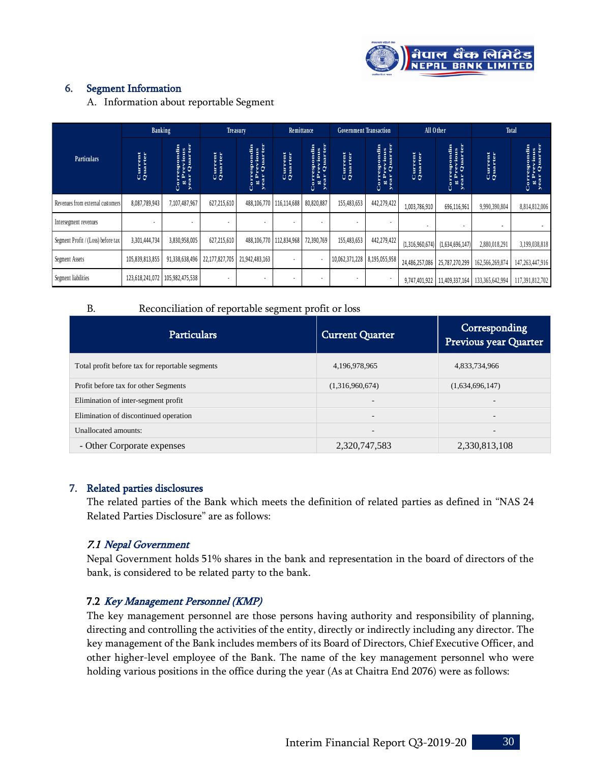

# 6. Segment Information

| <b>Particulars</b><br>Revenues from external customers<br>Intersegment revenues<br>Segment Profit / (Loss) before tax<br>Segment Assets<br>Segment liabilities<br><b>B.</b>                                                                                                                                                                                                         | <b>Current</b><br>Quarter<br>8,087,789,943<br>3,301,444,734<br>105,839,813,855 | <b>Correspondin</b><br><b>g Previous</b><br>year Quarter<br>7,107,487,967<br>3,830,958,005 | <b>Current</b><br>Quarter<br>627,215,610 | <b>Correspondin</b><br><b>g Previous</b><br><b>year Quarter</b><br>488,106,770 116,114,688 | Current<br>Quarter       | Correspondin<br>g Previous<br>year Quarter | <b>Current</b><br>Quarter    | <b>Correspondin<br/>g Previous<br/>year Quarter</b> | Current<br>Quarter | <b>Correspondin<br/>g Previous<br/>year Quarter</b> | <b>Current</b><br>Quarter                        | <b>Correspondin</b><br>g Previous<br>year Quarter |
|-------------------------------------------------------------------------------------------------------------------------------------------------------------------------------------------------------------------------------------------------------------------------------------------------------------------------------------------------------------------------------------|--------------------------------------------------------------------------------|--------------------------------------------------------------------------------------------|------------------------------------------|--------------------------------------------------------------------------------------------|--------------------------|--------------------------------------------|------------------------------|-----------------------------------------------------|--------------------|-----------------------------------------------------|--------------------------------------------------|---------------------------------------------------|
|                                                                                                                                                                                                                                                                                                                                                                                     |                                                                                |                                                                                            |                                          |                                                                                            |                          |                                            |                              |                                                     |                    |                                                     |                                                  |                                                   |
|                                                                                                                                                                                                                                                                                                                                                                                     |                                                                                |                                                                                            |                                          |                                                                                            |                          | 80,820,887                                 | 155,483,653                  | 442,279,422                                         | 1,003,786,910      | 696,116,961                                         | 9,990,390,804                                    | 8,814,812,006                                     |
|                                                                                                                                                                                                                                                                                                                                                                                     |                                                                                |                                                                                            |                                          |                                                                                            |                          |                                            |                              |                                                     |                    |                                                     |                                                  |                                                   |
|                                                                                                                                                                                                                                                                                                                                                                                     |                                                                                |                                                                                            | 627,215,610                              | 488,106,770                                                                                | 112,834,968              | 72,390,769                                 | 155,483,653                  | 442,279,422                                         | (1,316,960,674)    | (1,634,696,147)                                     | 2,880,018,291                                    | 3,199,038,818                                     |
|                                                                                                                                                                                                                                                                                                                                                                                     |                                                                                | 91,338,638,496                                                                             | 22,177,827,705                           | 21,942,483,163                                                                             | $\overline{\phantom{a}}$ |                                            | 10,062,371,228 8,195,055,958 |                                                     | 24,486,257,086     | 25,787,270,299                                      | 162,566,269,874                                  | 147,263,447,916                                   |
|                                                                                                                                                                                                                                                                                                                                                                                     |                                                                                | 123,618,241,072   105,982,475,538                                                          |                                          |                                                                                            | $\overline{\phantom{a}}$ |                                            |                              |                                                     |                    |                                                     | 9,747,401,922   11,409,337,164   133,365,642,994 | 117,391,812,702                                   |
|                                                                                                                                                                                                                                                                                                                                                                                     |                                                                                | Reconciliation of reportable segment profit or loss                                        |                                          |                                                                                            |                          |                                            |                              |                                                     |                    |                                                     |                                                  |                                                   |
|                                                                                                                                                                                                                                                                                                                                                                                     |                                                                                | <b>Particulars</b>                                                                         |                                          |                                                                                            |                          |                                            | <b>Current Quarter</b>       |                                                     |                    |                                                     | Corresponding<br>Previous year Quarter           |                                                   |
| Total profit before tax for reportable segments                                                                                                                                                                                                                                                                                                                                     |                                                                                |                                                                                            |                                          |                                                                                            |                          |                                            | 4,196,978,965                |                                                     |                    |                                                     | 4,833,734,966                                    |                                                   |
| Profit before tax for other Segments                                                                                                                                                                                                                                                                                                                                                |                                                                                |                                                                                            |                                          |                                                                                            |                          |                                            | (1,316,960,674)              |                                                     |                    | (1,634,696,147)                                     |                                                  |                                                   |
| Elimination of inter-segment profit                                                                                                                                                                                                                                                                                                                                                 |                                                                                |                                                                                            |                                          |                                                                                            |                          |                                            |                              |                                                     |                    |                                                     |                                                  |                                                   |
| Elimination of discontinued operation                                                                                                                                                                                                                                                                                                                                               |                                                                                |                                                                                            |                                          |                                                                                            |                          |                                            |                              |                                                     |                    |                                                     |                                                  |                                                   |
| Unallocated amounts:                                                                                                                                                                                                                                                                                                                                                                |                                                                                |                                                                                            |                                          |                                                                                            |                          |                                            |                              |                                                     |                    |                                                     |                                                  |                                                   |
| - Other Corporate expenses                                                                                                                                                                                                                                                                                                                                                          |                                                                                |                                                                                            |                                          |                                                                                            |                          |                                            | 2,320,747,583                |                                                     |                    |                                                     | 2,330,813,108                                    |                                                   |
| <b>Related parties disclosures</b><br>7.<br>The related parties of the Bank which meets the definition of related parties as defined in "NAS 24<br>Related Parties Disclosure" are as follows:<br>7.1 Nepal Government<br>Nepal Government holds 51% shares in the bank and representation in the board of directors of the<br>bank, is considered to be related party to the bank. |                                                                                |                                                                                            |                                          |                                                                                            |                          |                                            |                              |                                                     |                    |                                                     |                                                  |                                                   |

#### B. Reconciliation of reportable segment profit or loss

| <b>Particulars</b>                              | <b>Current Quarter</b>   | Corresponding<br>Previous year Quarter |
|-------------------------------------------------|--------------------------|----------------------------------------|
| Total profit before tax for reportable segments | 4,196,978,965            | 4,833,734,966                          |
| Profit before tax for other Segments            | (1,316,960,674)          | (1,634,696,147)                        |
| Elimination of inter-segment profit             | $\overline{\phantom{a}}$ |                                        |
| Elimination of discontinued operation           | $\overline{a}$           | -                                      |
| Unallocated amounts:                            | $\overline{\phantom{a}}$ |                                        |
| - Other Corporate expenses                      | 2,320,747,583            | 2,330,813,108                          |

## 7. Related parties disclosures

## 7.1 Nepal Government

# 7.2 Key Management Personnel (KMP)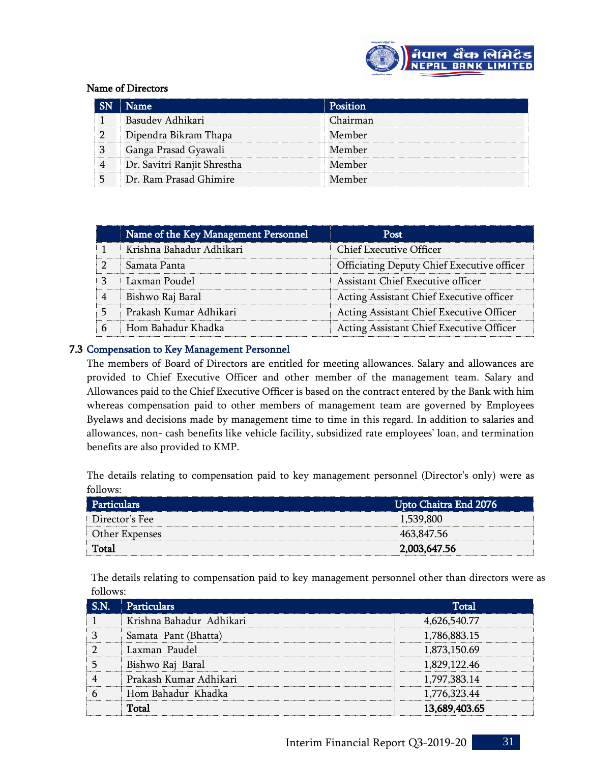

# Name of Directors

| <b>Name</b>                 | Position |
|-----------------------------|----------|
| Basudev Adhikari            | Chairman |
| Dipendra Bikram Thapa       | Member   |
| Ganga Prasad Gyawali        | Member   |
| Dr. Savitri Ranjit Shrestha | Member   |
| Dr. Ram Prasad Ghimire      | Member   |

|   | Name of the Key Management Personnel | Post                                       |
|---|--------------------------------------|--------------------------------------------|
|   | Krishna Bahadur Adhikari             | Chief Executive Officer                    |
|   | Samata Panta                         | Officiating Deputy Chief Executive officer |
| 3 | Laxman Poudel                        | Assistant Chief Executive officer          |
| 4 | Bishwo Raj Baral                     | Acting Assistant Chief Executive officer   |
|   | Prakash Kumar Adhikari               | Acting Assistant Chief Executive Officer   |
| 6 | Hom Bahadur Khadka                   | Acting Assistant Chief Executive Officer   |

# 7.3 Compensation to Key Management Personnel

The members of Board of Directors are entitled for meeting allowances. Salary and allowances are provided to Chief Executive Officer and other member of the management team. Salary and Allowances paid to the Chief Executive Officer is based on the contract entered by the Bank with him whereas compensation paid to other members of management team are governed by Employees Byelaws and decisions made by management time to time in this regard. In addition to salaries and allowances, non- cash benefits like vehicle facility, subsidized rate employees' loan, and termination benefits are also provided to KMP.

The details relating to compensation paid to key management personnel (Director's only) were as follows:

| Particulars    | Upto Chaitra End 2076 |
|----------------|-----------------------|
| Director's Fee | 1,539,800             |
| Other Expenses | 463,847.56            |
| Total          | 2,003,647.56          |

The details relating to compensation paid to key management personnel other than directors were as follows:

| S.N. | <b>Particulars</b>       | Total         |
|------|--------------------------|---------------|
|      | Krishna Bahadur Adhikari | 4,626,540.77  |
|      | Samata Pant (Bhatta)     | 1,786,883.15  |
|      | Laxman Paudel            | 1,873,150.69  |
|      | Bishwo Raj Baral         | 1,829,122.46  |
|      | Prakash Kumar Adhikari   | 1,797,383.14  |
|      | Hom Bahadur Khadka       | 1,776,323.44  |
|      | Total                    | 13,689,403.65 |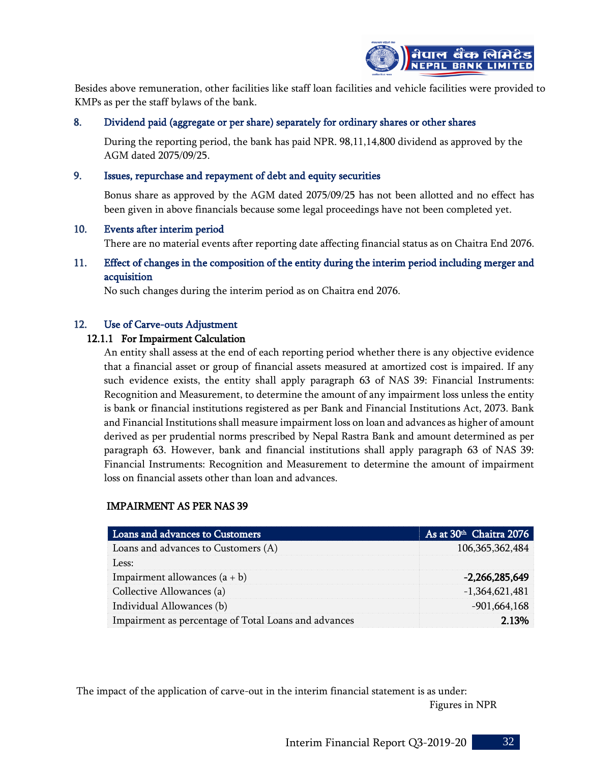

Besides above remuneration, other facilities like staff loan facilities and vehicle facilities were provided to KMPs as per the staff bylaws of the bank.

# 8. Dividend paid (aggregate or per share) separately for ordinary shares or other shares

During the reporting period, the bank has paid NPR. 98,11,14,800 dividend as approved by the AGM dated 2075/09/25.

## 9. Issues, repurchase and repayment of debt and equity securities

Bonus share as approved by the AGM dated 2075/09/25 has not been allotted and no effect has been given in above financials because some legal proceedings have not been completed yet.

## 10. Events after interim period

There are no material events after reporting date affecting financial status as on Chaitra End 2076.

# 11. Effect of changes in the composition of the entity during the interim period including merger and acquisition

No such changes during the interim period as on Chaitra end 2076.

## 12. Use of Carve-outs Adjustment

#### 12.1.1 For Impairment Calculation

An entity shall assess at the end of each reporting period whether there is any objective evidence that a financial asset or group of financial assets measured at amortized cost is impaired. If any such evidence exists, the entity shall apply paragraph 63 of NAS 39: Financial Instruments: Recognition and Measurement, to determine the amount of any impairment loss unless the entity is bank or financial institutions registered as per Bank and Financial Institutions Act, 2073. Bank and Financial Institutions shall measure impairment loss on loan and advances as higher of amount derived as per prudential norms prescribed by Nepal Rastra Bank and amount determined as per paragraph 63. However, bank and financial institutions shall apply paragraph 63 of NAS 39: Financial Instruments: Recognition and Measurement to determine the amount of impairment loss on financial assets other than loan and advances.

# IMPAIRMENT AS PER NAS 39

| Loans and advances to Customers                      | As at 30 <sup>th</sup> Chaitra 2076 |
|------------------------------------------------------|-------------------------------------|
| Loans and advances to Customers (A)                  | 106, 365, 362, 484                  |
| Less:                                                |                                     |
| Impairment allowances $(a + b)$                      | $-2,266,285,649$                    |
| Collective Allowances (a)                            | $-1,364,621,481$                    |
| Individual Allowances (b)                            | $-901,664,168$                      |
| Impairment as percentage of Total Loans and advances | 2.13%                               |

The impact of the application of carve-out in the interim financial statement is as under: Figures in NPR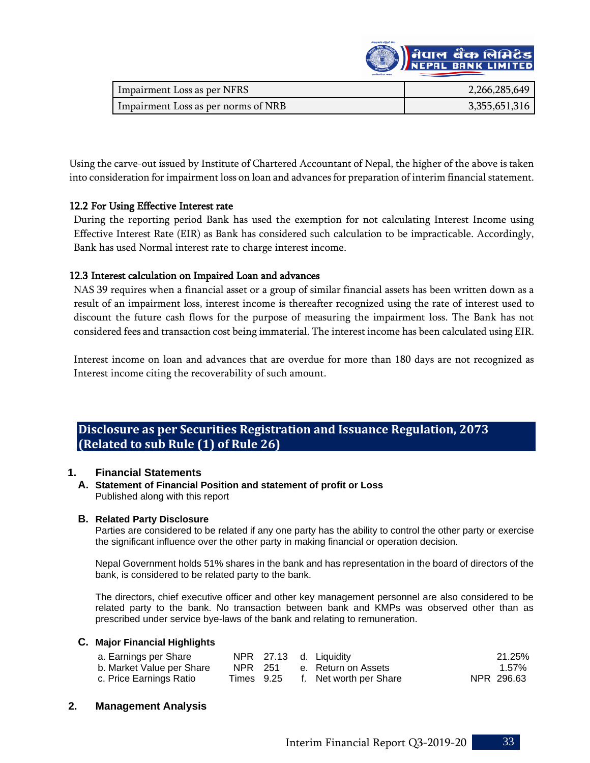

| Impairment Loss as per NFRS         | 2,266,285,649 |
|-------------------------------------|---------------|
| Impairment Loss as per norms of NRB | 3,355,651,316 |

Using the carve-out issued by Institute of Chartered Accountant of Nepal, the higher of the above is taken into consideration for impairment loss on loan and advances for preparation of interim financial statement.

## 12.2 For Using Effective Interest rate

During the reporting period Bank has used the exemption for not calculating Interest Income using Effective Interest Rate (EIR) as Bank has considered such calculation to be impracticable. Accordingly, Bank has used Normal interest rate to charge interest income.

# 12.3 Interest calculation on Impaired Loan and advances

NAS 39 requires when a financial asset or a group of similar financial assets has been written down as a result of an impairment loss, interest income is thereafter recognized using the rate of interest used to discount the future cash flows for the purpose of measuring the impairment loss. The Bank has not considered fees and transaction cost being immaterial. The interest income has been calculated using EIR.

Interest income on loan and advances that are overdue for more than 180 days are not recognized as Interest income citing the recoverability of such amount.

# **Disclosure as per Securities Registration and Issuance Regulation, 2073 (Related to sub Rule (1) of Rule 26)**

## **1. Financial Statements**

#### **A. Statement of Financial Position and statement of profit or Loss** Published along with this report

## **B. Related Party Disclosure**

Parties are considered to be related if any one party has the ability to control the other party or exercise the significant influence over the other party in making financial or operation decision.

Nepal Government holds 51% shares in the bank and has representation in the board of directors of the bank, is considered to be related party to the bank.

The directors, chief executive officer and other key management personnel are also considered to be related party to the bank. No transaction between bank and KMPs was observed other than as prescribed under service bye-laws of the bank and relating to remuneration.

## **C. Major Financial Highlights**

| a. Earnings per Share     |         |  | NPR 27.13 d. Liquidity            | 21.25%     |
|---------------------------|---------|--|-----------------------------------|------------|
| b. Market Value per Share | NPR 251 |  | e. Return on Assets               | 1.57%      |
| c. Price Earnings Ratio   |         |  | Times 9.25 f. Net worth per Share | NPR 296.63 |

## **2. Management Analysis**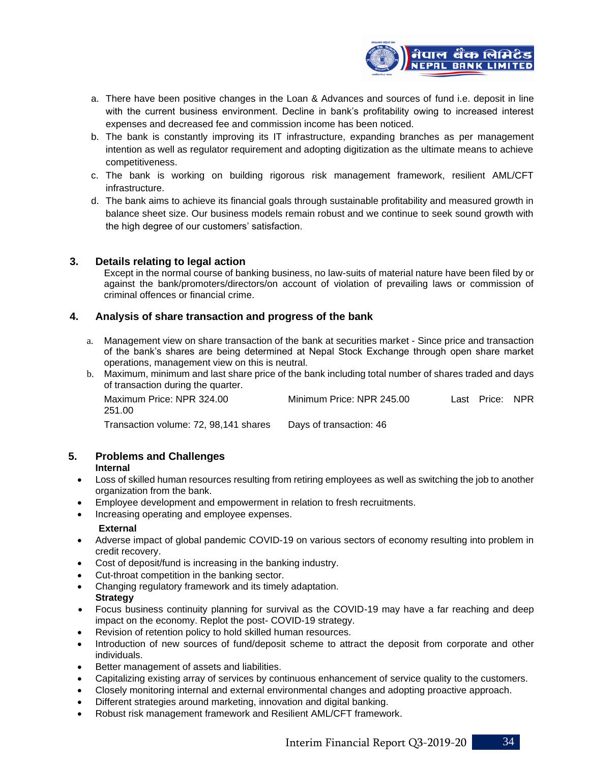

- a. There have been positive changes in the Loan & Advances and sources of fund i.e. deposit in line with the current business environment. Decline in bank's profitability owing to increased interest expenses and decreased fee and commission income has been noticed.
- b. The bank is constantly improving its IT infrastructure, expanding branches as per management intention as well as regulator requirement and adopting digitization as the ultimate means to achieve competitiveness.
- c. The bank is working on building rigorous risk management framework, resilient AML/CFT infrastructure.
- d. The bank aims to achieve its financial goals through sustainable profitability and measured growth in balance sheet size. Our business models remain robust and we continue to seek sound growth with the high degree of our customers' satisfaction.

# **3. Details relating to legal action**

Except in the normal course of banking business, no law-suits of material nature have been filed by or against the bank/promoters/directors/on account of violation of prevailing laws or commission of criminal offences or financial crime.

## **4. Analysis of share transaction and progress of the bank**

- a. Management view on share transaction of the bank at securities market Since price and transaction of the bank's shares are being determined at Nepal Stock Exchange through open share market operations, management view on this is neutral.
- b. Maximum, minimum and last share price of the bank including total number of shares traded and days of transaction during the quarter.

| Maximum Price: NPR 324.00<br>251.00   | Minimum Price: NPR 245.00 | Last Price: NPR |  |
|---------------------------------------|---------------------------|-----------------|--|
| Transaction volume: 72, 98,141 shares | Days of transaction: 46   |                 |  |

# **5. Problems and Challenges**

#### **Internal**

- Loss of skilled human resources resulting from retiring employees as well as switching the job to another organization from the bank.
- Employee development and empowerment in relation to fresh recruitments.
- Increasing operating and employee expenses.

#### **External**

- Adverse impact of global pandemic COVID-19 on various sectors of economy resulting into problem in credit recovery.
- Cost of deposit/fund is increasing in the banking industry.
- Cut-throat competition in the banking sector.
- Changing regulatory framework and its timely adaptation. **Strategy**
- Focus business continuity planning for survival as the COVID-19 may have a far reaching and deep impact on the economy. Replot the post- COVID-19 strategy.
- Revision of retention policy to hold skilled human resources.
- Introduction of new sources of fund/deposit scheme to attract the deposit from corporate and other individuals.
- Better management of assets and liabilities.
- Capitalizing existing array of services by continuous enhancement of service quality to the customers.
- Closely monitoring internal and external environmental changes and adopting proactive approach.
- Different strategies around marketing, innovation and digital banking.
- Robust risk management framework and Resilient AML/CFT framework.